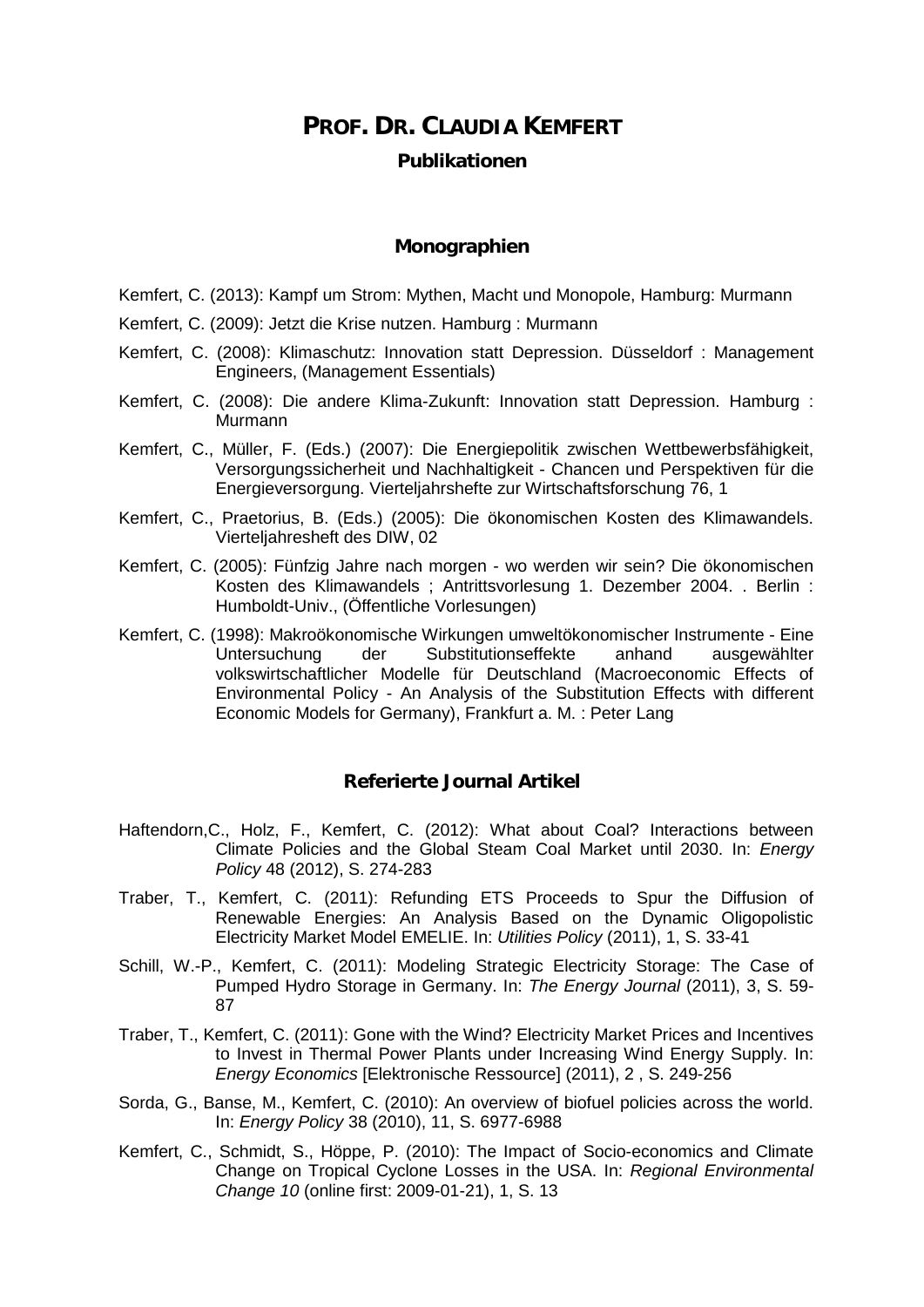# **PROF. DR. CLAUDIA KEMFERT Publikationen**

## **Monographien**

- Kemfert, C. (2013): Kampf um Strom: Mythen, Macht und Monopole, Hamburg: Murmann
- Kemfert, C. (2009): Jetzt die Krise nutzen. Hamburg : Murmann
- Kemfert, C. (2008): Klimaschutz: Innovation statt Depression. Düsseldorf : Management Engineers, (Management Essentials)
- Kemfert, C. (2008): Die andere Klima-Zukunft: Innovation statt Depression. Hamburg : Murmann
- Kemfert, C., Müller, F. (Eds.) (2007): Die Energiepolitik zwischen Wettbewerbsfähigkeit, Versorgungssicherheit und Nachhaltigkeit - Chancen und Perspektiven für die Energieversorgung. Vierteljahrshefte zur Wirtschaftsforschung 76, 1
- Kemfert, C., Praetorius, B. (Eds.) (2005): Die ökonomischen Kosten des Klimawandels. Vierteljahresheft des DIW, 02
- Kemfert, C. (2005): Fünfzig Jahre nach morgen wo werden wir sein? Die ökonomischen Kosten des Klimawandels ; Antrittsvorlesung 1. Dezember 2004. . Berlin : Humboldt-Univ., (Öffentliche Vorlesungen)
- Kemfert, C. (1998): Makroökonomische Wirkungen umweltökonomischer Instrumente Eine Substitutionseffekte volkswirtschaftlicher Modelle für Deutschland (Macroeconomic Effects of Environmental Policy - An Analysis of the Substitution Effects with different Economic Models for Germany), Frankfurt a. M. : Peter Lang

## **Referierte Journal Artikel**

- Haftendorn,C., Holz, F., Kemfert, C. (2012): What about Coal? Interactions between Climate Policies and the Global Steam Coal Market until 2030. In: *Energy Policy* 48 (2012), S. 274-283
- Traber, T., Kemfert, C. (2011): Refunding ETS Proceeds to Spur the Diffusion of Renewable Energies: An Analysis Based on the Dynamic Oligopolistic Electricity Market Model EMELIE. In: *Utilities Policy* (2011), 1, S. 33-41
- Schill, W.-P., Kemfert, C. (2011): Modeling Strategic Electricity Storage: The Case of Pumped Hydro Storage in Germany. In: *The Energy Journal* (2011), 3, S. 59- 87
- Traber, T., Kemfert, C. (2011): Gone with the Wind? Electricity Market Prices and Incentives to Invest in Thermal Power Plants under Increasing Wind Energy Supply. In: *Energy Economics* [Elektronische Ressource] (2011), 2 , S. 249-256
- Sorda, G., Banse, M., Kemfert, C. (2010): An overview of biofuel policies across the world. In: *[Energy Policy](http://www.sciencedirect.com/science/journal/03014215)* 38 [\(2010\), 11,](http://www.sciencedirect.com/science?_ob=PublicationURL&_tockey=%23TOC%235713%232010%23999619988%232418736%23FLA%23&_cdi=5713&_pubType=J&view=c&_auth=y&_acct=C000065295&_version=1&_urlVersion=0&_userid=4888685&md5=604a39124a965b462440535f62f22bd9) S. 6977-6988
- Kemfert, C., Schmidt, S., Höppe, P. (2010): The Impact of Socio-economics and Climate Change on Tropical Cyclone Losses in the USA. In: *Regional Environmental Change 10* (online first: 2009-01-21), 1, S. 13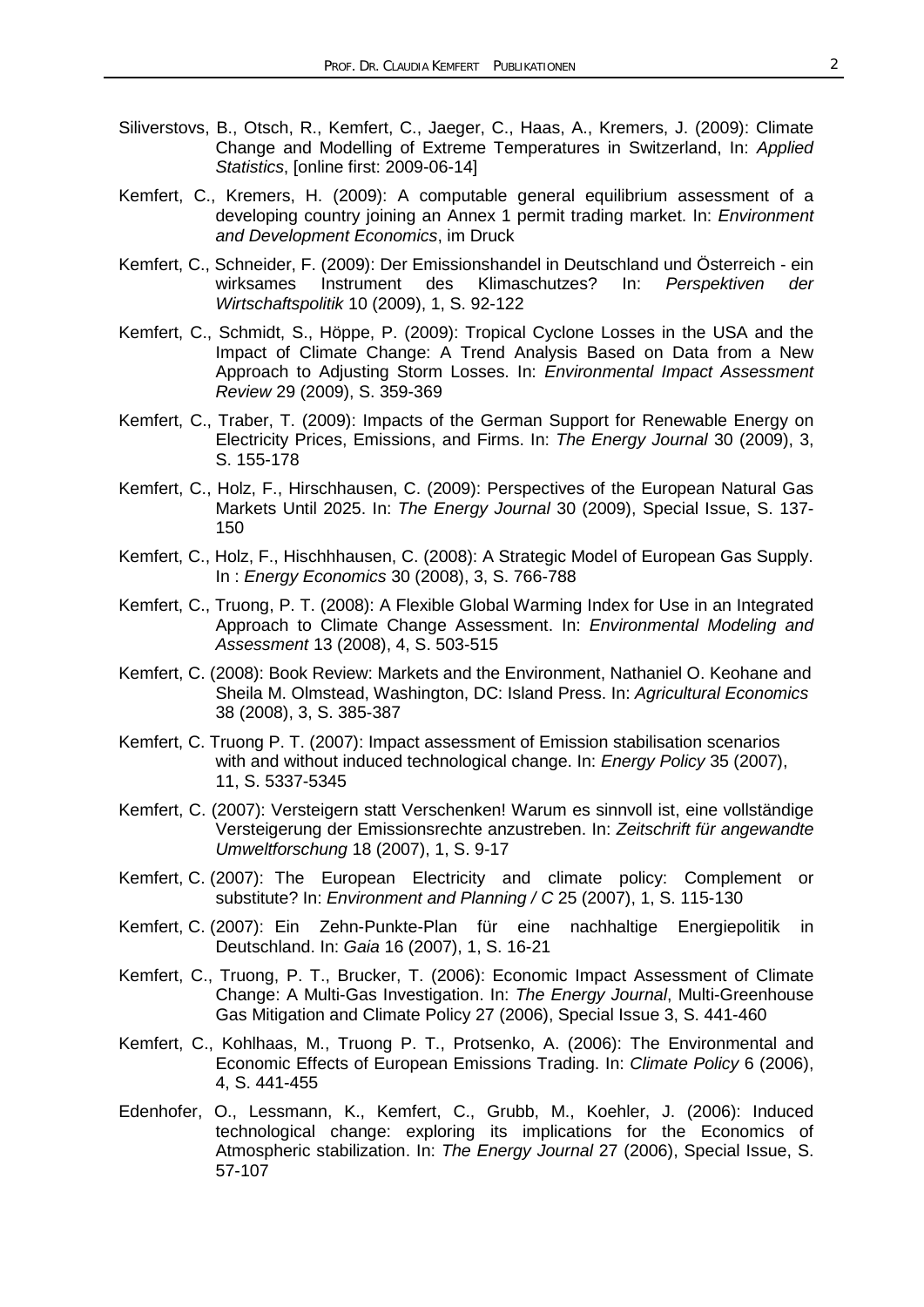- Siliverstovs, B., Otsch, R., Kemfert, C., Jaeger, C., Haas, A., Kremers, J. (2009): Climate Change and Modelling of Extreme Temperatures in Switzerland, In: *Applied Statistics*, [online first: 2009-06-14]
- Kemfert, C., Kremers, H. (2009): A computable general equilibrium assessment of a developing country joining an Annex 1 permit trading market. In: *Environment and Development Economics*, im Druck
- Kemfert, C., Schneider, F. (2009): Der Emissionshandel in Deutschland und Österreich ein<br>wirksames Instrument des Klimaschutzes? In: Perspektiven der Klimaschutzes? In: *Perspektiven der Wirtschaftspolitik* 10 (2009), 1, S. 92-122
- Kemfert, C., Schmidt, S., Höppe, P. (2009): Tropical Cyclone Losses in the USA and the Impact of Climate Change: A Trend Analysis Based on Data from a New Approach to Adjusting Storm Losses. In: *Environmental Impact Assessment Review* 29 (2009), S. 359-369
- Kemfert, C., Traber, T. (2009): Impacts of the German Support for Renewable Energy on Electricity Prices, Emissions, and Firms. In: *The Energy Journal* 30 (2009), 3, S. 155-178
- Kemfert, C., Holz, F., Hirschhausen, C. (2009): [Perspectives of the European Natural Gas](https://www.iaee.org/en/publications/journal.aspx)  Markets Until 2025. In: *The Energy Journal* [30 \(2009\), Special Issue,](https://www.iaee.org/en/publications/journal.aspx) S. 137- 150
- Kemfert, C., Holz, F., Hischhhausen, C. (2008): A Strategic Model of European Gas Supply. In : *Energy Economics* 30 (2008), 3, S. 766-788
- Kemfert, C., Truong, P. T. (2008): A Flexible Global Warming Index for Use in an Integrated Approach to Climate Change Assessment. In: *Environmental Modeling and Assessment* 13 (2008), 4, S. 503-515
- Kemfert, C. (2008): Book Review: Markets and the Environment, Nathaniel O. Keohane and Sheila M. Olmstead, Washington, DC: Island Press. In: *Agricultural Economics*  38 (2008), 3, S. 385-387
- Kemfert, C. Truong P. T. (2007): Impact assessment of Emission stabilisation scenarios with and without induced technological change. In: *Energy Policy* 35 (2007), 11, S. 5337-5345
- Kemfert, C. (2007): Versteigern statt Verschenken! Warum es sinnvoll ist, eine vollständige Versteigerung der Emissionsrechte anzustreben. In: *Zeitschrift für angewandte Umweltforschung* 18 (2007), 1, S. 9-17
- Kemfert, C. (2007): The European Electricity and climate policy: Complement or substitute? In: *Environment and Planning / C* 25 (2007), 1, S. 115-130
- Kemfert, C. (2007): Ein Zehn-Punkte-Plan für eine nachhaltige Energiepolitik in Deutschland. In: *Gaia* 16 (2007), 1, S. 16-21
- Kemfert, C., Truong, P. T., Brucker, T. (2006): Economic Impact Assessment of Climate Change: A Multi-Gas Investigation. In: *The Energy Journal*, Multi-Greenhouse Gas Mitigation and Climate Policy 27 (2006), Special Issue 3, S. 441-460
- Kemfert, C., Kohlhaas, M., Truong P. T., Protsenko, A. (2006): The Environmental and Economic Effects of European Emissions Trading. In: *Climate Policy* 6 (2006), 4, S. 441-455
- Edenhofer, O., Lessmann, K., Kemfert, C., Grubb, M., Koehler, J. (2006): Induced technological change: exploring its implications for the Economics of Atmospheric stabilization. In: *The Energy Journal* 27 (2006), Special Issue, S. 57-107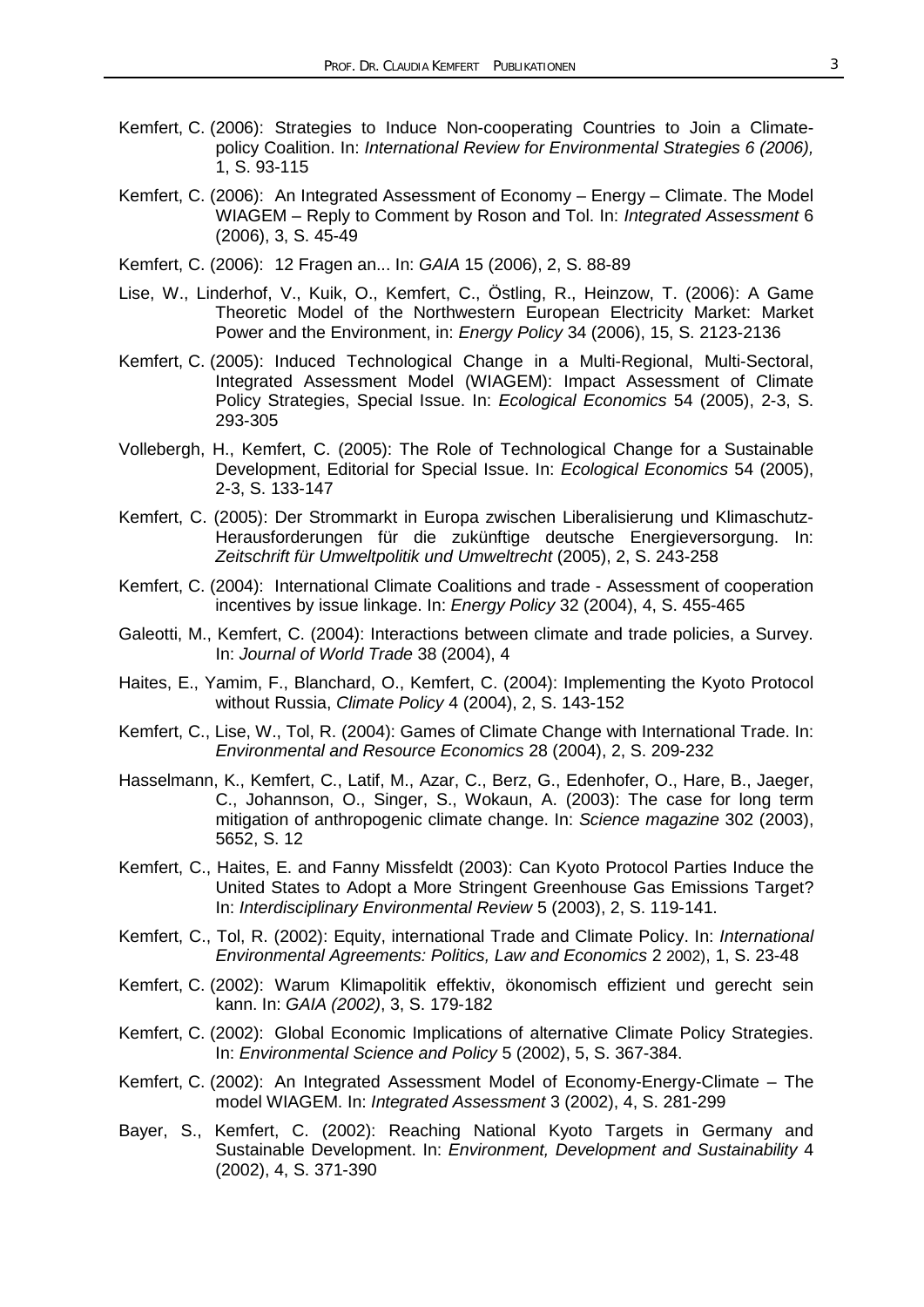- Kemfert, C. (2006): Strategies to Induce Non-cooperating Countries to Join a Climatepolicy Coalition. In: *International Review for Environmental Strategies 6 (2006),*  1, S. 93-115
- Kemfert, C. (2006): An Integrated Assessment of Economy Energy Climate. The Model WIAGEM – Reply to Comment by Roson and Tol. In: *Integrated Assessment* 6 (2006), 3, S. 45-49
- Kemfert, C. (2006): 12 Fragen an... In: *GAIA* 15 (2006), 2, S. 88-89
- Lise, W., Linderhof, V., Kuik, O., Kemfert, C., Östling, R., Heinzow, T. (2006): A Game Theoretic Model of the Northwestern European Electricity Market: Market Power and the Environment, in: *Energy Policy* 34 (2006), 15, S. 2123-2136
- Kemfert, C. (2005): Induced Technological Change in a Multi-Regional, Multi-Sectoral, Integrated Assessment Model (WIAGEM): Impact Assessment of Climate Policy Strategies, Special Issue. In: *Ecological Economics* 54 (2005), 2-3, S. 293-305
- Vollebergh, H., Kemfert, C. (2005): The Role of Technological Change for a Sustainable Development, Editorial for Special Issue. In: *Ecological Economics* 54 (2005), 2-3, S. 133-147
- Kemfert, C. (2005): Der Strommarkt in Europa zwischen Liberalisierung und Klimaschutz-Herausforderungen für die zukünftige deutsche Energieversorgung. In: *Zeitschrift für Umweltpolitik und Umweltrecht* (2005), 2, S. 243-258
- Kemfert, C. (2004): International Climate Coalitions and trade Assessment of cooperation incentives by issue linkage. In: *Energy Policy* 32 (2004), 4, S. 455-465
- Galeotti, M., Kemfert, C. (2004): Interactions between climate and trade policies, a Survey. In: *Journal of World Trade* 38 (2004), 4
- Haites, E., Yamim, F., Blanchard, O., Kemfert, C. (2004): Implementing the Kyoto Protocol without Russia, *Climate Policy* 4 (2004), 2, S. 143-152
- Kemfert, C., Lise, W., Tol, R. (2004): Games of Climate Change with International Trade. In: *Environmental and Resource Economics* 28 (2004), 2, S. 209-232
- Hasselmann, K., Kemfert, C., Latif, M., Azar, C., Berz, G., Edenhofer, O., Hare, B., Jaeger, C., Johannson, O., Singer, S., Wokaun, A. (2003): The case for long term mitigation of anthropogenic climate change. In: *Science magazine* 302 (2003), 5652, S. 12
- Kemfert, C., Haites, E. and Fanny Missfeldt (2003): Can Kyoto Protocol Parties Induce the United States to Adopt a More Stringent Greenhouse Gas Emissions Target? In: *Interdisciplinary Environmental Review* 5 (2003), 2, S. 119-141.
- Kemfert, C., Tol, R. (2002): Equity, international Trade and Climate Policy. In: *International Environmental Agreements: Politics, Law and Economics* 2 2002), 1, S. 23-48
- Kemfert, C. (2002): Warum Klimapolitik effektiv, ökonomisch effizient und gerecht sein kann. In: *GAIA (2002)*, 3, S. 179-182
- Kemfert, C. (2002): Global Economic Implications of alternative Climate Policy Strategies. In: *Environmental Science and Policy* 5 (2002), 5, S. 367-384.
- Kemfert, C. (2002): An Integrated Assessment Model of Economy-Energy-Climate The model WIAGEM. In: *Integrated Assessment* 3 (2002), 4, S. 281-299
- Bayer, S., Kemfert, C. (2002): Reaching National Kyoto Targets in Germany and Sustainable Development. In: *Environment, Development and Sustainability* 4 (2002), 4, S. 371-390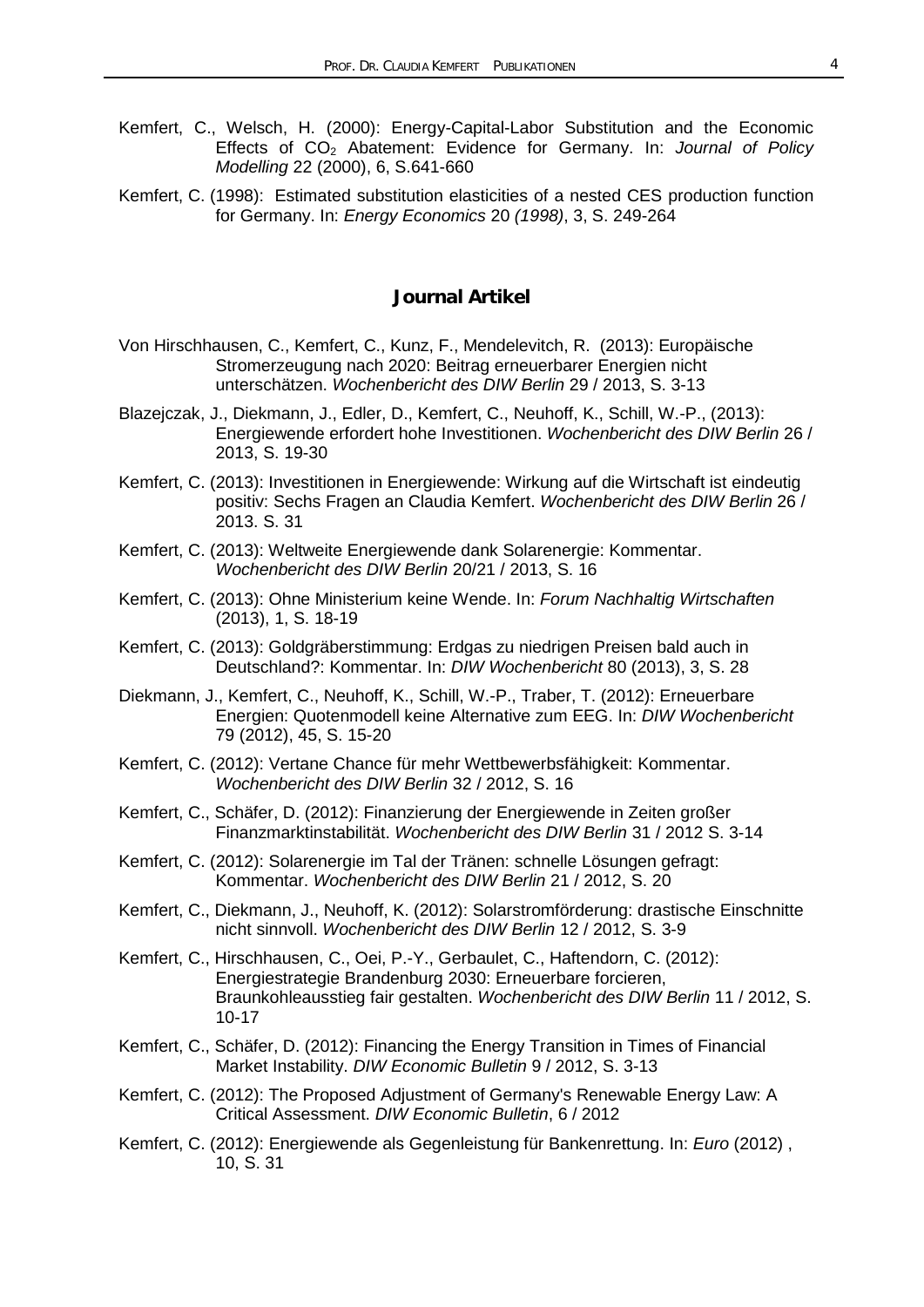- Kemfert, C., Welsch, H. (2000): Energy-Capital-Labor Substitution and the Economic Effects of CO2 Abatement: Evidence for Germany. In: *Journal of Policy Modelling* 22 (2000), 6, S.641-660
- Kemfert, C. (1998): Estimated substitution elasticities of a nested CES production function for Germany. In: *Energy Economics* 20 *(1998)*, 3, S. 249-264

## **Journal Artikel**

- Von Hirschhausen, C., Kemfert, C., Kunz, F., Mendelevitch, R. (2013): Europäische Stromerzeugung nach 2020: Beitrag erneuerbarer Energien nicht unterschätzen. *Wochenbericht des DIW Berlin* 29 / 2013, S. 3-13
- Blazejczak, J., Diekmann, J., Edler, D., Kemfert, C., Neuhoff, K., Schill, W.-P., (2013): Energiewende erfordert hohe Investitionen. *Wochenbericht des DIW Berlin* 26 / 2013, S. 19-30
- Kemfert, C. (2013): Investitionen in Energiewende: Wirkung auf die Wirtschaft ist eindeutig positiv: Sechs Fragen an Claudia Kemfert. *Wochenbericht des DIW Berlin* 26 / 2013. S. 31
- Kemfert, C. (2013): Weltweite Energiewende dank Solarenergie: Kommentar. *Wochenbericht des DIW Berlin* 20/21 / 2013, S. 16
- Kemfert, C. (2013): Ohne Ministerium keine Wende. In: *Forum Nachhaltig Wirtschaften* (2013), 1, S. 18-19
- Kemfert, C. (2013): Goldgräberstimmung: Erdgas zu niedrigen Preisen bald auch in Deutschland?: Kommentar. In: *DIW Wochenbericht* 80 (2013), 3, S. 28
- Diekmann, J., Kemfert, C., Neuhoff, K., Schill, W.-P., Traber, T. (2012): Erneuerbare Energien: Quotenmodell keine Alternative zum EEG. In: *DIW Wochenbericht* 79 (2012), 45, S. 15-20
- Kemfert, C. (2012): Vertane Chance für mehr Wettbewerbsfähigkeit: Kommentar. *Wochenbericht des DIW Berlin* 32 / 2012, S. 16
- Kemfert, C., Schäfer, D. (2012): Finanzierung der Energiewende in Zeiten großer Finanzmarktinstabilität. *Wochenbericht des DIW Berlin* 31 / 2012 S. 3-14
- Kemfert, C. (2012): Solarenergie im Tal der Tränen: schnelle Lösungen gefragt: Kommentar. *Wochenbericht des DIW Berlin* 21 / 2012, S. 20
- Kemfert, C., Diekmann, J., Neuhoff, K. (2012): Solarstromförderung: drastische Einschnitte nicht sinnvoll. *Wochenbericht des DIW Berlin* 12 / 2012, S. 3-9
- Kemfert, C., Hirschhausen, C., Oei, P.-Y., Gerbaulet, C., Haftendorn, C. (2012): Energiestrategie Brandenburg 2030: Erneuerbare forcieren, Braunkohleausstieg fair gestalten. *Wochenbericht des DIW Berlin* 11 / 2012, S. 10-17
- Kemfert, C., Schäfer, D. (2012): Financing the Energy Transition in Times of Financial Market Instability. *DIW Economic Bulletin* 9 / 2012, S. 3-13
- Kemfert, C. (2012): The Proposed Adjustment of Germany's Renewable Energy Law: A Critical Assessment. *DIW Economic Bulletin*, 6 / 2012
- Kemfert, C. (2012): Energiewende als Gegenleistung für Bankenrettung. In: *Euro* (2012) , 10, S. 31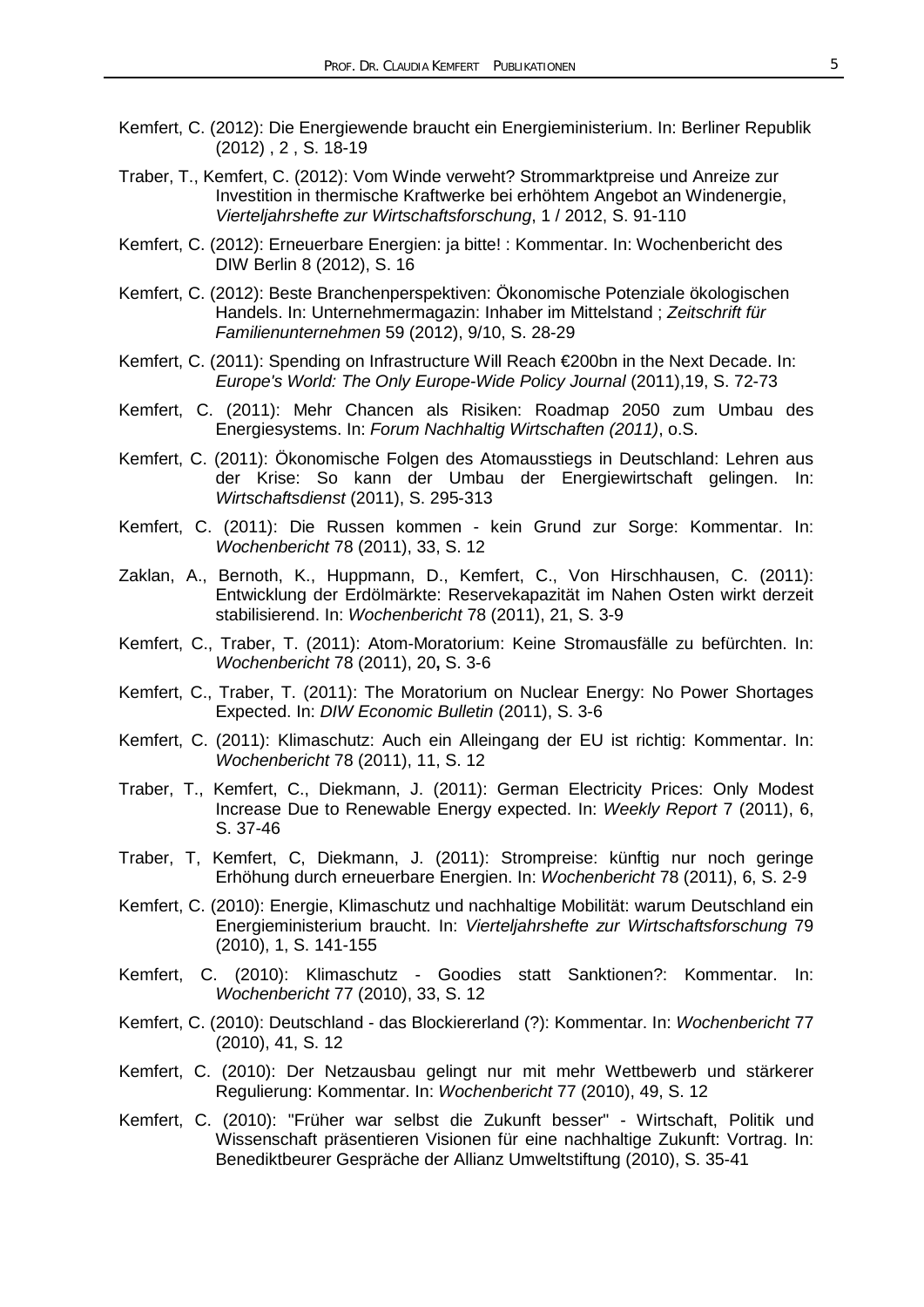- Kemfert, C. (2012): Die Energiewende braucht ein Energieministerium. In: Berliner Republik (2012) , 2 , S. 18-19
- Traber, T., Kemfert, C. (2012): Vom Winde verweht? Strommarktpreise und Anreize zur Investition in thermische Kraftwerke bei erhöhtem Angebot an Windenergie, *Vierteljahrshefte zur Wirtschaftsforschung*, 1 / 2012, S. 91-110
- Kemfert, C. (2012): Erneuerbare Energien: ja bitte! : Kommentar. In: Wochenbericht des DIW Berlin 8 (2012), S. 16
- Kemfert, C. (2012): Beste Branchenperspektiven: Ökonomische Potenziale ökologischen Handels. In: Unternehmermagazin: Inhaber im Mittelstand ; *Zeitschrift für Familienunternehmen* 59 (2012), 9/10, S. 28-29
- Kemfert, C. (2011): Spending on Infrastructure Will Reach €200bn in the Next Decade. In: *Europe's World: The Only Europe-Wide Policy Journal* (2011),19, S. 72-73
- Kemfert, C. (2011): Mehr Chancen als Risiken: Roadmap 2050 zum Umbau des Energiesystems. In: *Forum Nachhaltig Wirtschaften (2011)*, o.S.
- Kemfert, C. (2011): Ökonomische Folgen des Atomausstiegs in Deutschland: Lehren aus der Krise: So kann der Umbau der Energiewirtschaft gelingen. In: *Wirtschaftsdienst* (2011), S. 295-313
- Kemfert, C. (2011): Die Russen kommen kein Grund zur Sorge: Kommentar. In: *Wochenbericht* 78 (2011), 33, S. 12
- Zaklan, A., Bernoth, K., Huppmann, D., Kemfert, C., Von Hirschhausen, C. (2011): Entwicklung der Erdölmärkte: Reservekapazität im Nahen Osten wirkt derzeit stabilisierend. In: *Wochenbericht* 78 (2011), 21, S. 3-9
- Kemfert, C., Traber, T. (2011): Atom-Moratorium: Keine Stromausfälle zu befürchten. In: *Wochenbericht* 78 (2011), 20**,** S. 3-6
- Kemfert, C., Traber, T. (2011): The Moratorium on Nuclear Energy: No Power Shortages Expected. In: *DIW Economic Bulletin* (2011), S. 3-6
- Kemfert, C. (2011): Klimaschutz: Auch ein Alleingang der EU ist richtig: Kommentar. In: *Wochenbericht* 78 (2011), 11, S. 12
- Traber, T., Kemfert, C., Diekmann, J. (2011): German Electricity Prices: Only Modest Increase Due to Renewable Energy expected. In: *Weekly Report* 7 (2011), 6, S. 37-46
- Traber, T, Kemfert, C, Diekmann, J. (2011): Strompreise: künftig nur noch geringe Erhöhung durch erneuerbare Energien. In: *Wochenbericht* 78 (2011), 6, S. 2-9
- Kemfert, C. (2010): Energie, Klimaschutz und nachhaltige Mobilität: warum Deutschland ein Energieministerium braucht. In: *Vierteljahrshefte zur Wirtschaftsforschung* 79 (2010), 1, S. 141-155
- Kemfert, C. (2010): Klimaschutz Goodies statt Sanktionen?: Kommentar. In: *Wochenbericht* 77 (2010), 33, S. 12
- Kemfert, C. (2010): Deutschland das Blockiererland (?): Kommentar. In: *Wochenbericht* 77 (2010), 41, S. 12
- Kemfert, C. (2010): Der Netzausbau gelingt nur mit mehr Wettbewerb und stärkerer Regulierung: Kommentar. In: *Wochenbericht* 77 (2010), 49, S. 12
- Kemfert, C. (2010): "Früher war selbst die Zukunft besser" Wirtschaft, Politik und Wissenschaft präsentieren Visionen für eine nachhaltige Zukunft: Vortrag. In: Benediktbeurer Gespräche der Allianz Umweltstiftung (2010), S. 35-41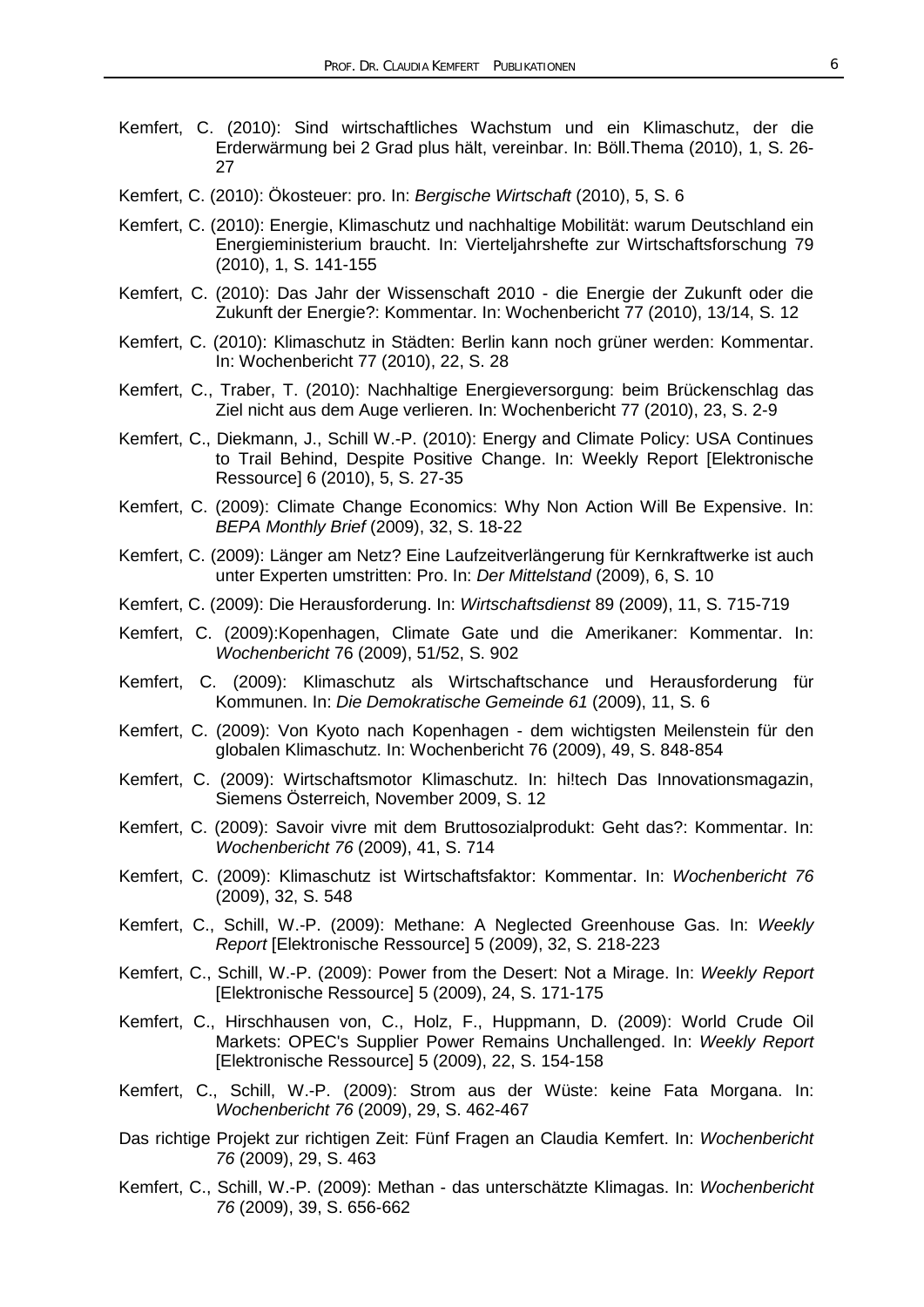- Kemfert, C. (2010): Sind wirtschaftliches Wachstum und ein Klimaschutz, der die Erderwärmung bei 2 Grad plus hält, vereinbar. In: Böll.Thema (2010), 1, S. 26- 27
- Kemfert, C. (2010): Ökosteuer: pro. In: *Bergische Wirtschaft* (2010), 5, S. 6
- Kemfert, C. (2010): Energie, Klimaschutz und nachhaltige Mobilität: warum Deutschland ein Energieministerium braucht. In: Vierteljahrshefte zur Wirtschaftsforschung 79 (2010), 1, S. 141-155
- Kemfert, C. (2010): Das Jahr der Wissenschaft 2010 die Energie der Zukunft oder die Zukunft der Energie?: Kommentar. In: Wochenbericht 77 (2010), 13/14, S. 12
- Kemfert, C. (2010): Klimaschutz in Städten: Berlin kann noch grüner werden: Kommentar. In: Wochenbericht 77 (2010), 22, S. 28
- Kemfert, C., Traber, T. (2010): Nachhaltige Energieversorgung: beim Brückenschlag das Ziel nicht aus dem Auge verlieren. In: Wochenbericht 77 (2010), 23, S. 2-9
- Kemfert, C., Diekmann, J., Schill W.-P. (2010): Energy and Climate Policy: USA Continues to Trail Behind, Despite Positive Change. In: Weekly Report [Elektronische Ressource] 6 (2010), 5, S. 27-35
- Kemfert, C. (2009): Climate Change Economics: Why Non Action Will Be Expensive. In: *BEPA Monthly Brief* (2009), 32, S. 18-22
- Kemfert, C. (2009): Länger am Netz? Eine Laufzeitverlängerung für Kernkraftwerke ist auch unter Experten umstritten: Pro. In: *Der Mittelstand* (2009), 6, S. 10
- Kemfert, C. (2009): Die Herausforderung. In: *Wirtschaftsdienst* 89 (2009), 11, S. 715-719
- Kemfert, C. (2009):Kopenhagen, Climate Gate und die Amerikaner: Kommentar. In: *Wochenbericht* 76 (2009), 51/52, S. 902
- Kemfert, C. (2009): Klimaschutz als Wirtschaftschance und Herausforderung für Kommunen. In: *Die Demokratische Gemeinde 61* (2009), 11, S. 6
- Kemfert, C. (2009): Von Kyoto nach Kopenhagen dem wichtigsten Meilenstein für den globalen Klimaschutz. In: Wochenbericht 76 (2009), 49, S. 848-854
- Kemfert, C. (2009): Wirtschaftsmotor Klimaschutz. In: hi!tech Das Innovationsmagazin, Siemens Österreich, November 2009, S. 12
- Kemfert, C. (2009): Savoir vivre mit dem Bruttosozialprodukt: Geht das?: Kommentar. In: *Wochenbericht 76* (2009), 41, S. 714
- Kemfert, C. (2009): Klimaschutz ist Wirtschaftsfaktor: Kommentar. In: *Wochenbericht 76*  (2009), 32, S. 548
- Kemfert, C., Schill, W.-P. (2009): Methane: A Neglected Greenhouse Gas. In: *Weekly Report* [Elektronische Ressource] 5 (2009), 32, S. 218-223
- Kemfert, C., Schill, W.-P. (2009): Power from the Desert: Not a Mirage. In: *Weekly Report* [Elektronische Ressource] 5 (2009), 24, S. 171-175
- Kemfert, C., Hirschhausen von, C., Holz, F., Huppmann, D. (2009): World Crude Oil Markets: OPEC's Supplier Power Remains Unchallenged. In: *Weekly Report*  [Elektronische Ressource] 5 (2009), 22, S. 154-158
- Kemfert, C., Schill, W.-P. (2009): Strom aus der Wüste: keine Fata Morgana. In: *Wochenbericht 76* (2009), 29, S. 462-467
- Das richtige Projekt zur richtigen Zeit: Fünf Fragen an Claudia Kemfert. In: *Wochenbericht 76* (2009), 29, S. 463
- Kemfert, C., Schill, W.-P. (2009): Methan das unterschätzte Klimagas. In: *Wochenbericht 76* (2009), 39, S. 656-662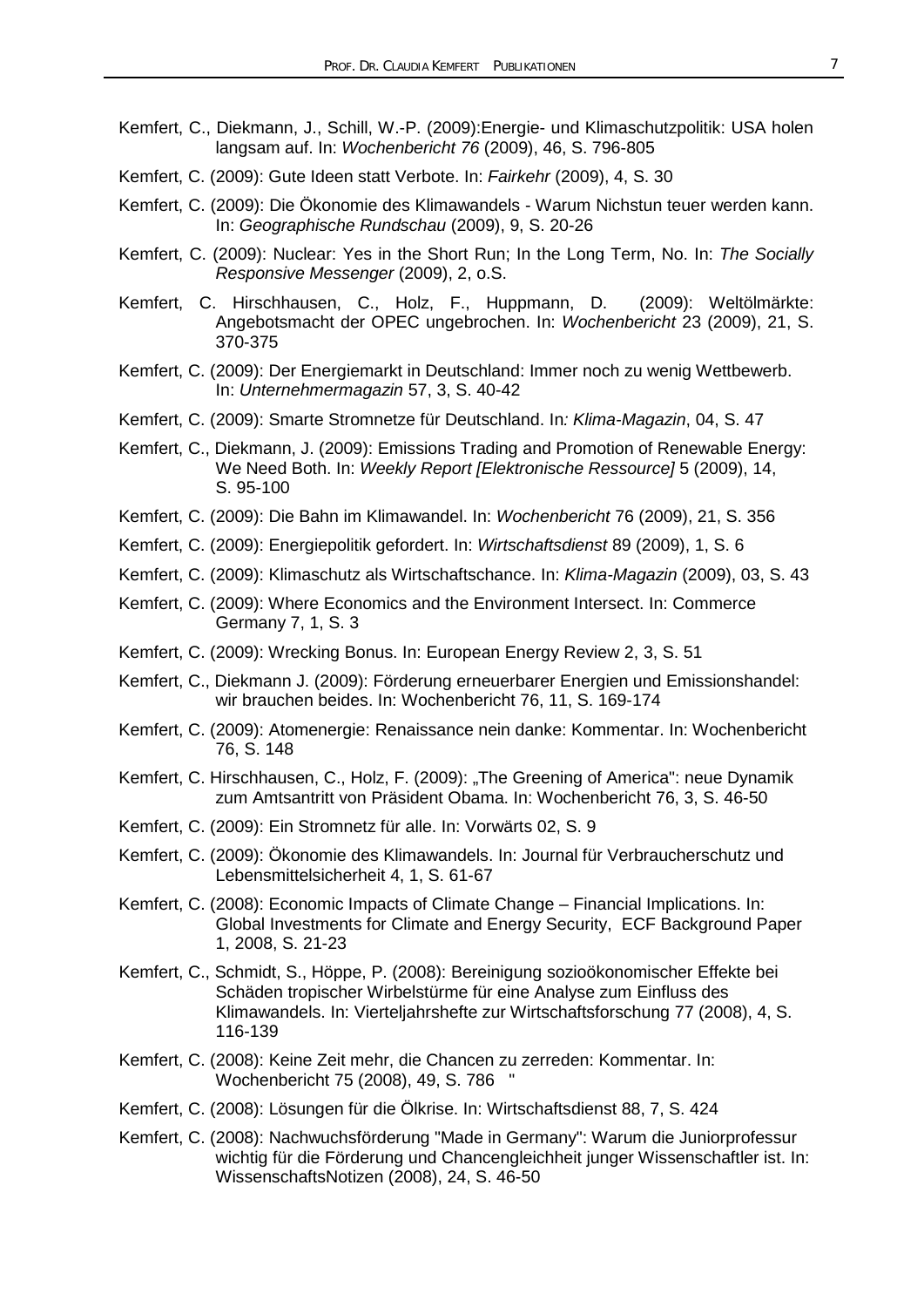- Kemfert, C., Diekmann, J., Schill, W.-P. (2009):Energie- und Klimaschutzpolitik: USA holen langsam auf. In: *Wochenbericht 76* (2009), 46, S. 796-805
- Kemfert, C. (2009): Gute Ideen statt Verbote. In: *Fairkehr* (2009), 4, S. 30
- Kemfert, C. (2009): Die Ökonomie des Klimawandels Warum Nichstun teuer werden kann. In: *Geographische Rundschau* (2009), 9, S. 20-26
- Kemfert, C. (2009): Nuclear: Yes in the Short Run; In the Long Term, No. In: *The Socially Responsive Messenger* (2009), 2, o.S.
- Kemfert, C. Hirschhausen, C., Holz, F., Huppmann, D. (2009): Weltölmärkte: Angebotsmacht der OPEC ungebrochen. In: *Wochenbericht* 23 (2009), 21, S. 370-375
- Kemfert, C. (2009): Der Energiemarkt in Deutschland: Immer noch zu wenig Wettbewerb. In: *Unternehmermagazin* 57, 3, S. 40-42
- Kemfert, C. (2009): Smarte Stromnetze für Deutschland. In*: Klima-Magazin*, 04, S. 47
- Kemfert, C., Diekmann, J. (2009): Emissions Trading and Promotion of Renewable Energy: We Need Both. In: *Weekly Report [Elektronische Ressource]* 5 (2009), 14, S. 95-100
- Kemfert, C. (2009): Die Bahn im Klimawandel. In: *Wochenbericht* 76 (2009), 21, S. 356
- Kemfert, C. (2009): Energiepolitik gefordert. In: *Wirtschaftsdienst* 89 (2009), 1, S. 6
- Kemfert, C. (2009): Klimaschutz als Wirtschaftschance. In: *Klima-Magazin* (2009), 03, S. 43
- Kemfert, C. (2009): Where Economics and the Environment Intersect. In: Commerce Germany 7, 1, S. 3
- Kemfert, C. (2009): Wrecking Bonus. In: European Energy Review 2, 3, S. 51
- Kemfert, C., Diekmann J. (2009): Förderung erneuerbarer Energien und Emissionshandel: wir brauchen beides. In: Wochenbericht 76, 11, S. 169-174
- Kemfert, C. (2009): Atomenergie: Renaissance nein danke: Kommentar. In: Wochenbericht 76, S. 148
- Kemfert, C. Hirschhausen, C., Holz, F. (2009): "The Greening of America": neue Dynamik zum Amtsantritt von Präsident Obama. In: Wochenbericht 76, 3, S. 46-50
- Kemfert, C. (2009): Ein Stromnetz für alle. In: Vorwärts 02, S. 9
- Kemfert, C. (2009): Ökonomie des Klimawandels. In: Journal für Verbraucherschutz und Lebensmittelsicherheit 4, 1, S. 61-67
- Kemfert, C. (2008): Economic Impacts of Climate Change Financial Implications. In: Global Investments for Climate and Energy Security, ECF Background Paper 1, 2008, S. 21-23
- Kemfert, C., Schmidt, S., Höppe, P. (2008): Bereinigung sozioökonomischer Effekte bei Schäden tropischer Wirbelstürme für eine Analyse zum Einfluss des Klimawandels. In: Vierteljahrshefte zur Wirtschaftsforschung 77 (2008), 4, S. 116-139
- Kemfert, C. (2008): Keine Zeit mehr, die Chancen zu zerreden: Kommentar. In: Wochenbericht 75 (2008), 49, S. 786 "
- Kemfert, C. (2008): Lösungen für die Ölkrise. In: Wirtschaftsdienst 88, 7, S. 424
- Kemfert, C. (2008): Nachwuchsförderung "Made in Germany": Warum die Juniorprofessur wichtig für die Förderung und Chancengleichheit junger Wissenschaftler ist. In: WissenschaftsNotizen (2008), 24, S. 46-50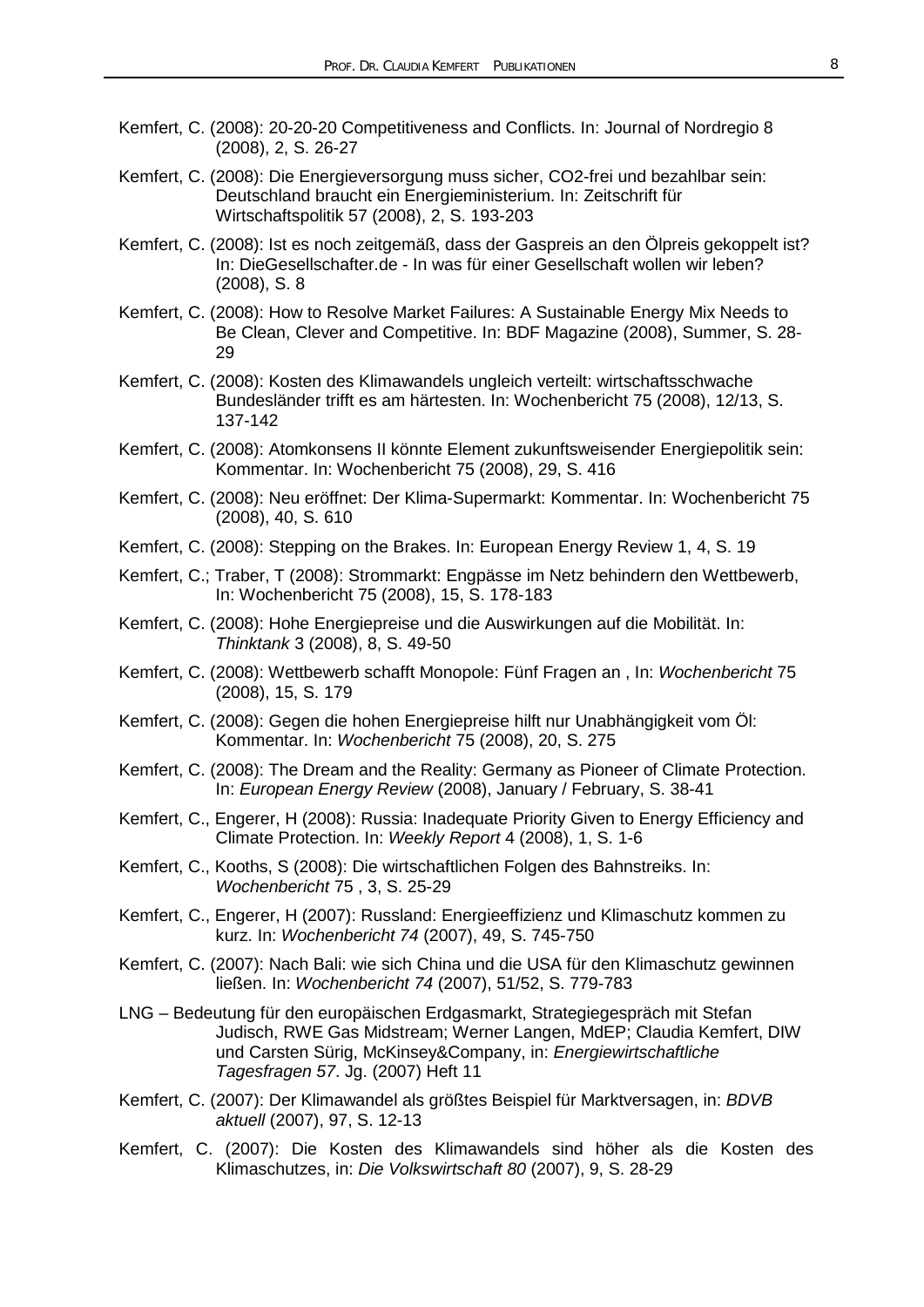- Kemfert, C. (2008): 20-20-20 Competitiveness and Conflicts. In: Journal of Nordregio 8 (2008), 2, S. 26-27
- Kemfert, C. (2008): Die Energieversorgung muss sicher, CO2-frei und bezahlbar sein: Deutschland braucht ein Energieministerium. In: Zeitschrift für Wirtschaftspolitik 57 (2008), 2, S. 193-203
- Kemfert, C. (2008): Ist es noch zeitgemäß, dass der Gaspreis an den Ölpreis gekoppelt ist? In: DieGesellschafter.de - In was für einer Gesellschaft wollen wir leben? (2008), S. 8
- Kemfert, C. (2008): How to Resolve Market Failures: A Sustainable Energy Mix Needs to Be Clean, Clever and Competitive. In: BDF Magazine (2008), Summer, S. 28- 29
- Kemfert, C. (2008): Kosten des Klimawandels ungleich verteilt: wirtschaftsschwache Bundesländer trifft es am härtesten. In: Wochenbericht 75 (2008), 12/13, S. 137-142
- Kemfert, C. (2008): Atomkonsens II könnte Element zukunftsweisender Energiepolitik sein: Kommentar. In: Wochenbericht 75 (2008), 29, S. 416
- Kemfert, C. (2008): Neu eröffnet: Der Klima-Supermarkt: Kommentar. In: Wochenbericht 75 (2008), 40, S. 610
- Kemfert, C. (2008): Stepping on the Brakes. In: European Energy Review 1, 4, S. 19
- Kemfert, C.; Traber, T (2008): Strommarkt: Engpässe im Netz behindern den Wettbewerb, In: Wochenbericht 75 (2008), 15, S. 178-183
- Kemfert, C. (2008): Hohe Energiepreise und die Auswirkungen auf die Mobilität. In: *Thinktank* 3 (2008), 8, S. 49-50
- Kemfert, C. (2008): Wettbewerb schafft Monopole: Fünf Fragen an , In: *Wochenbericht* 75 (2008), 15, S. 179
- Kemfert, C. (2008): Gegen die hohen Energiepreise hilft nur Unabhängigkeit vom Öl: Kommentar. In: *Wochenbericht* 75 (2008), 20, S. 275
- Kemfert, C. (2008): The Dream and the Reality: Germany as Pioneer of Climate Protection. In: *European Energy Review* (2008), January / February, S. 38-41
- Kemfert, C., Engerer, H (2008): Russia: Inadequate Priority Given to Energy Efficiency and Climate Protection. In: *Weekly Report* 4 (2008), 1, S. 1-6
- Kemfert, C., Kooths, S (2008): Die wirtschaftlichen Folgen des Bahnstreiks. In: *Wochenbericht* 75 , 3, S. 25-29
- Kemfert, C., Engerer, H (2007): Russland: Energieeffizienz und Klimaschutz kommen zu kurz. In: *Wochenbericht 74* (2007), 49, S. 745-750
- Kemfert, C. (2007): Nach Bali: wie sich China und die USA für den Klimaschutz gewinnen ließen. In: *Wochenbericht 74* (2007), 51/52, S. 779-783
- LNG Bedeutung für den europäischen Erdgasmarkt, Strategiegespräch mit Stefan Judisch, RWE Gas Midstream; Werner Langen, MdEP; Claudia Kemfert, DIW und Carsten Sürig, McKinsey&Company, in: *Energiewirtschaftliche Tagesfragen 57*. Jg. (2007) Heft 11
- Kemfert, C. (2007): Der Klimawandel als größtes Beispiel für Marktversagen, in: *BDVB aktuell* (2007), 97, S. 12-13
- Kemfert, C. (2007): Die Kosten des Klimawandels sind höher als die Kosten des Klimaschutzes, in: *Die Volkswirtschaft 80* (2007), 9, S. 28-29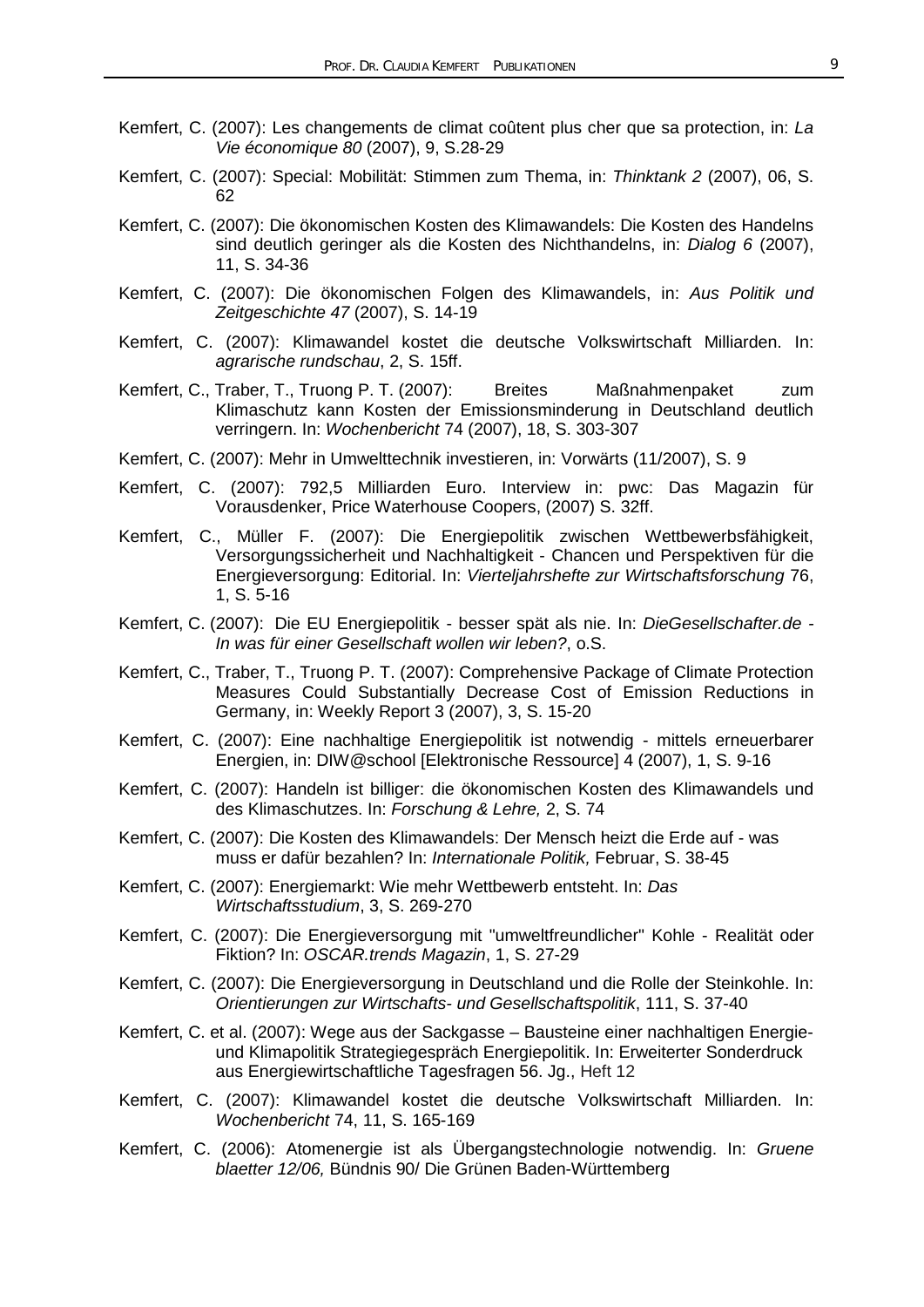- Kemfert, C. (2007): Les changements de climat coûtent plus cher que sa protection, in: *La Vie économique 80* (2007), 9, S.28-29
- Kemfert, C. (2007): Special: Mobilität: Stimmen zum Thema, in: *Thinktank 2* (2007), 06, S. 62
- Kemfert, C. (2007): Die ökonomischen Kosten des Klimawandels: Die Kosten des Handelns sind deutlich geringer als die Kosten des Nichthandelns, in: *Dialog 6* (2007), 11, S. 34-36
- Kemfert, C. (2007): Die ökonomischen Folgen des Klimawandels, in: *Aus Politik und Zeitgeschichte 47* (2007), S. 14-19
- Kemfert, C. (2007): Klimawandel kostet die deutsche Volkswirtschaft Milliarden. In: *agrarische rundschau*, 2, S. 15ff.
- Kemfert, C., Traber, T., Truong P. T. (2007): Breites Maßnahmenpaket zum Klimaschutz kann Kosten der Emissionsminderung in Deutschland deutlich verringern. In: *Wochenbericht* 74 (2007), 18, S. 303-307
- Kemfert, C. (2007): Mehr in Umwelttechnik investieren, in: Vorwärts (11/2007), S. 9
- Kemfert, C. (2007): 792,5 Milliarden Euro. Interview in: pwc: Das Magazin für Vorausdenker, Price Waterhouse Coopers, (2007) S. 32ff.
- Kemfert, C., Müller F. (2007): Die Energiepolitik zwischen Wettbewerbsfähigkeit, Versorgungssicherheit und Nachhaltigkeit - Chancen und Perspektiven für die Energieversorgung: Editorial. In: *Vierteljahrshefte zur Wirtschaftsforschung* 76, 1, S. 5-16
- Kemfert, C. (2007): Die EU Energiepolitik besser spät als nie. In: *DieGesellschafter.de - In was für einer Gesellschaft wollen wir leben?*, o.S.
- Kemfert, C., Traber, T., Truong P. T. (2007): Comprehensive Package of Climate Protection Measures Could Substantially Decrease Cost of Emission Reductions in Germany, in: Weekly Report 3 (2007), 3, S. 15-20
- Kemfert, C. (2007): Eine nachhaltige Energiepolitik ist notwendig mittels erneuerbarer Energien, in: DIW@school [Elektronische Ressource] 4 (2007), 1, S. 9-16
- Kemfert, C. (2007): Handeln ist billiger: die ökonomischen Kosten des Klimawandels und des Klimaschutzes. In: *Forschung & Lehre,* 2, S. 74
- Kemfert, C. (2007): Die Kosten des Klimawandels: Der Mensch heizt die Erde auf was muss er dafür bezahlen? In: *Internationale Politik,* Februar, S. 38-45
- Kemfert, C. (2007): Energiemarkt: Wie mehr Wettbewerb entsteht. In: *Das Wirtschaftsstudium*, 3, S. 269-270
- Kemfert, C. (2007): Die Energieversorgung mit "umweltfreundlicher" Kohle Realität oder Fiktion? In: *OSCAR.trends Magazin*, 1, S. 27-29
- Kemfert, C. (2007): Die Energieversorgung in Deutschland und die Rolle der Steinkohle. In: *Orientierungen zur Wirtschafts- und Gesellschaftspolitik*, 111, S. 37-40
- Kemfert, C. et al. (2007): Wege aus der Sackgasse Bausteine einer nachhaltigen Energieund Klimapolitik Strategiegespräch Energiepolitik. In: Erweiterter Sonderdruck aus Energiewirtschaftliche Tagesfragen 56. Jg., Heft 12
- Kemfert, C. (2007): Klimawandel kostet die deutsche Volkswirtschaft Milliarden. In: *Wochenbericht* 74, 11, S. 165-169
- Kemfert, C. (2006): Atomenergie ist als Übergangstechnologie notwendig. In: *Gruene blaetter 12/06,* Bündnis 90/ Die Grünen Baden-Württemberg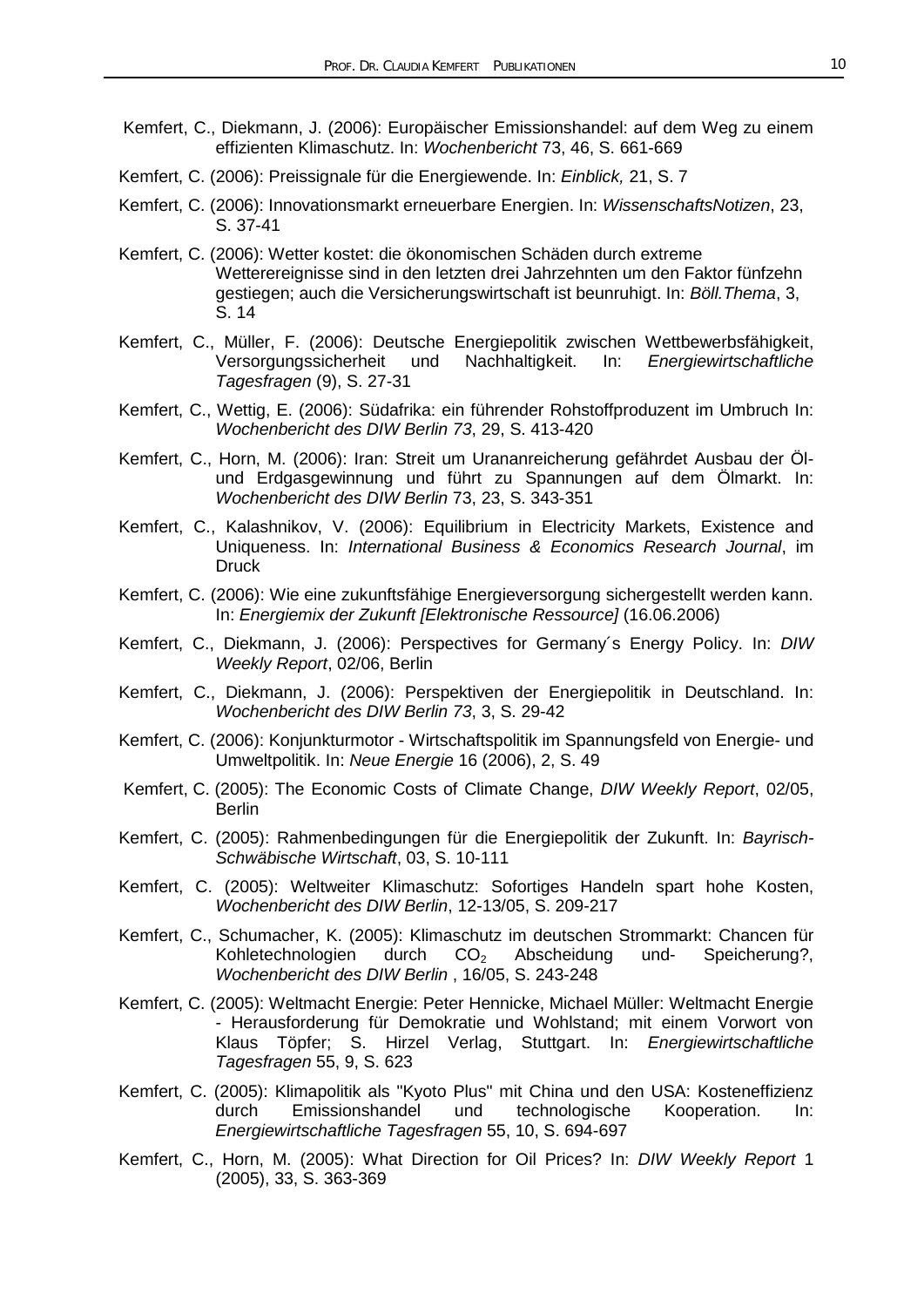- Kemfert, C., Diekmann, J. (2006): Europäischer Emissionshandel: auf dem Weg zu einem effizienten Klimaschutz. In: *Wochenbericht* 73, 46, S. 661-669
- Kemfert, C. (2006): Preissignale für die Energiewende. In: *Einblick,* 21, S. 7
- Kemfert, C. (2006): Innovationsmarkt erneuerbare Energien. In: *WissenschaftsNotizen*, 23, S. 37-41
- Kemfert, C. (2006): Wetter kostet: die ökonomischen Schäden durch extreme Wetterereignisse sind in den letzten drei Jahrzehnten um den Faktor fünfzehn gestiegen; auch die Versicherungswirtschaft ist beunruhigt. In: *Böll.Thema*, 3, S. 14
- Kemfert, C., Müller, F. (2006): Deutsche Energiepolitik zwischen Wettbewerbsfähigkeit, Versorgungssicherheit und Nachhaltigkeit. In: *Energiewirtschaftliche Tagesfragen* (9), S. 27-31
- Kemfert, C., Wettig, E. (2006): Südafrika: ein führender Rohstoffproduzent im Umbruch In: *Wochenbericht des DIW Berlin 73*, 29, S. 413-420
- Kemfert, C., Horn, M. (2006): Iran: Streit um Urananreicherung gefährdet Ausbau der Ölund Erdgasgewinnung und führt zu Spannungen auf dem Ölmarkt. In: *Wochenbericht des DIW Berlin* 73, 23, S. 343-351
- Kemfert, C., Kalashnikov, V. (2006): Equilibrium in Electricity Markets, Existence and Uniqueness. In: *International Business & Economics Research Journal*, im Druck
- Kemfert, C. (2006): Wie eine zukunftsfähige Energieversorgung sichergestellt werden kann. In: *Energiemix der Zukunft [Elektronische Ressource]* (16.06.2006)
- Kemfert, C., Diekmann, J. (2006): Perspectives for Germany´s Energy Policy. In: *DIW Weekly Report*, 02/06, Berlin
- Kemfert, C., Diekmann, J. (2006): Perspektiven der Energiepolitik in Deutschland. In: *Wochenbericht des DIW Berlin 73*, 3, S. 29-42
- Kemfert, C. (2006): Konjunkturmotor Wirtschaftspolitik im Spannungsfeld von Energie- und Umweltpolitik. In: *Neue Energie* 16 (2006), 2, S. 49
- Kemfert, C. (2005): The Economic Costs of Climate Change, *DIW Weekly Report*, 02/05, **Berlin**
- Kemfert, C. (2005): Rahmenbedingungen für die Energiepolitik der Zukunft. In: *Bayrisch-Schwäbische Wirtschaft*, 03, S. 10-111
- Kemfert, C. (2005): Weltweiter Klimaschutz: Sofortiges Handeln spart hohe Kosten, *Wochenbericht des DIW Berlin*, 12-13/05, S. 209-217
- Kemfert, C., Schumacher, K. (2005): Klimaschutz im deutschen Strommarkt: Chancen für Kohletechnologien durch CO<sub>2</sub> Abscheidung und- Speicherung?, *Wochenbericht des DIW Berlin* , 16/05, S. 243-248
- Kemfert, C. (2005): Weltmacht Energie: Peter Hennicke, Michael Müller: Weltmacht Energie - Herausforderung für Demokratie und Wohlstand; mit einem Vorwort von Klaus Töpfer; S. Hirzel Verlag, Stuttgart. In: *Energiewirtschaftliche Tagesfragen* 55, 9, S. 623
- Kemfert, C. (2005): Klimapolitik als "Kyoto Plus" mit China und den USA: Kosteneffizienz durch Emissionshandel und technologische Kooperation. In: *Energiewirtschaftliche Tagesfragen* 55, 10, S. 694-697
- Kemfert, C., Horn, M. (2005): What Direction for Oil Prices? In: *DIW Weekly Report* 1 (2005), 33, S. 363-369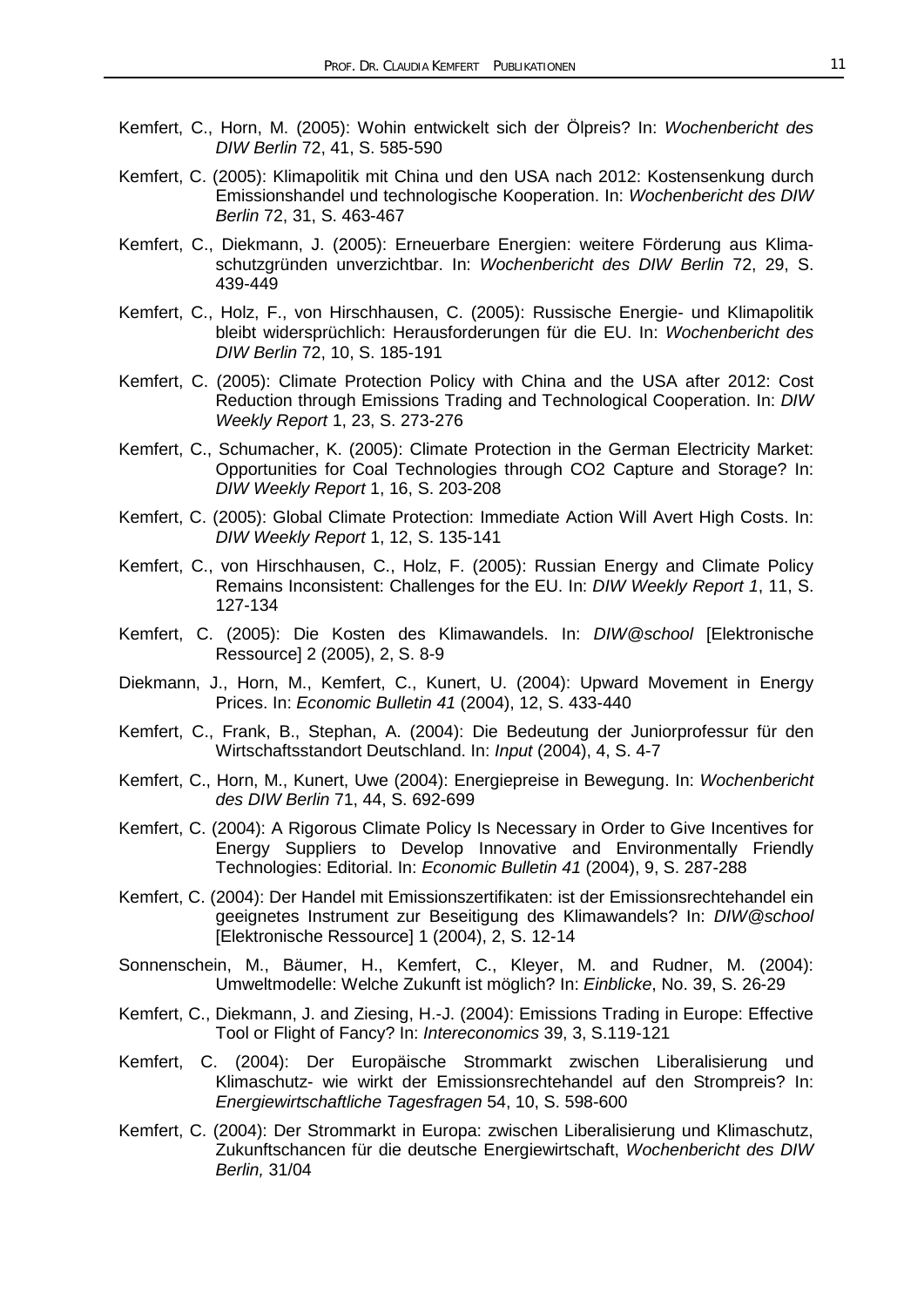- Kemfert, C., Horn, M. (2005): Wohin entwickelt sich der Ölpreis? In: *Wochenbericht des DIW Berlin* 72, 41, S. 585-590
- Kemfert, C. (2005): Klimapolitik mit China und den USA nach 2012: Kostensenkung durch Emissionshandel und technologische Kooperation. In: *Wochenbericht des DIW Berlin* 72, 31, S. 463-467
- Kemfert, C., Diekmann, J. (2005): Erneuerbare Energien: weitere Förderung aus Klimaschutzgründen unverzichtbar. In: *Wochenbericht des DIW Berlin* 72, 29, S. 439-449
- Kemfert, C., Holz, F., von Hirschhausen, C. (2005): Russische Energie- und Klimapolitik bleibt widersprüchlich: Herausforderungen für die EU. In: *Wochenbericht des DIW Berlin* 72, 10, S. 185-191
- Kemfert, C. (2005): Climate Protection Policy with China and the USA after 2012: Cost Reduction through Emissions Trading and Technological Cooperation. In: *DIW Weekly Report* 1, 23, S. 273-276
- Kemfert, C., Schumacher, K. (2005): Climate Protection in the German Electricity Market: Opportunities for Coal Technologies through CO2 Capture and Storage? In: *DIW Weekly Report* 1, 16, S. 203-208
- Kemfert, C. (2005): Global Climate Protection: Immediate Action Will Avert High Costs. In: *DIW Weekly Report* 1, 12, S. 135-141
- Kemfert, C., von Hirschhausen, C., Holz, F. (2005): Russian Energy and Climate Policy Remains Inconsistent: Challenges for the EU. In: *DIW Weekly Report 1*, 11, S. 127-134
- Kemfert, C. (2005): Die Kosten des Klimawandels. In: *DIW@school* [Elektronische Ressource] 2 (2005), 2, S. 8-9
- Diekmann, J., Horn, M., Kemfert, C., Kunert, U. (2004): Upward Movement in Energy Prices. In: *Economic Bulletin 41* (2004), 12, S. 433-440
- Kemfert, C., Frank, B., Stephan, A. (2004): Die Bedeutung der Juniorprofessur für den Wirtschaftsstandort Deutschland. In: *Input* (2004), 4, S. 4-7
- Kemfert, C., Horn, M., Kunert, Uwe (2004): Energiepreise in Bewegung. In: *Wochenbericht des DIW Berlin* 71, 44, S. 692-699
- Kemfert, C. (2004): A Rigorous Climate Policy Is Necessary in Order to Give Incentives for Energy Suppliers to Develop Innovative and Environmentally Friendly Technologies: Editorial. In: *Economic Bulletin 41* (2004), 9, S. 287-288
- Kemfert, C. (2004): Der Handel mit Emissionszertifikaten: ist der Emissionsrechtehandel ein geeignetes Instrument zur Beseitigung des Klimawandels? In: *DIW@school* [Elektronische Ressource] 1 (2004), 2, S. 12-14
- Sonnenschein, M., Bäumer, H., Kemfert, C., Kleyer, M. and Rudner, M. (2004): Umweltmodelle: Welche Zukunft ist möglich? In: *Einblicke*, No. 39, S. 26-29
- Kemfert, C., Diekmann, J. and Ziesing, H.-J. (2004): Emissions Trading in Europe: Effective Tool or Flight of Fancy? In: *Intereconomics* 39, 3, S.119-121
- Kemfert, C. (2004): Der Europäische Strommarkt zwischen Liberalisierung und Klimaschutz- wie wirkt der Emissionsrechtehandel auf den Strompreis? In: *Energiewirtschaftliche Tagesfragen* 54, 10, S. 598-600
- Kemfert, C. (2004): Der Strommarkt in Europa: zwischen Liberalisierung und Klimaschutz, Zukunftschancen für die deutsche Energiewirtschaft, *Wochenbericht des DIW Berlin,* 31/04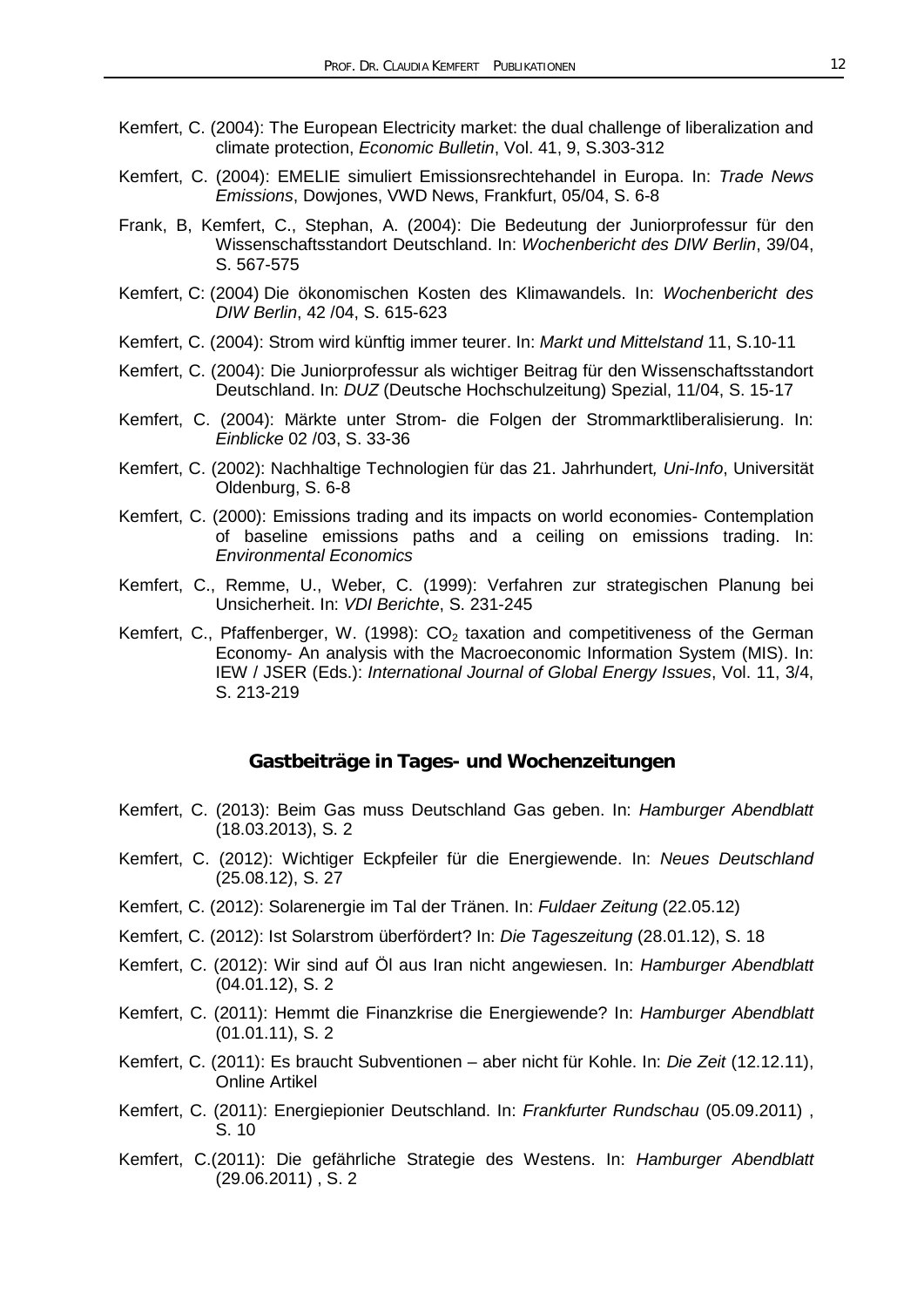- Kemfert, C. (2004): The European Electricity market: the dual challenge of liberalization and climate protection, *Economic Bulletin*, Vol. 41, 9, S.303-312
- Kemfert, C. (2004): EMELIE simuliert Emissionsrechtehandel in Europa. In: *Trade News Emissions*, Dowjones, VWD News, Frankfurt, 05/04, S. 6-8
- Frank, B, Kemfert, C., Stephan, A. (2004): Die Bedeutung der Juniorprofessur für den Wissenschaftsstandort Deutschland. In: *Wochenbericht des DIW Berlin*, 39/04, S. 567-575
- Kemfert, C: (2004) Die ökonomischen Kosten des Klimawandels. In: *Wochenbericht des DIW Berlin*, 42 /04, S. 615-623
- Kemfert, C. (2004): Strom wird künftig immer teurer. In: *Markt und Mittelstand* 11, S.10-11
- Kemfert, C. (2004): Die Juniorprofessur als wichtiger Beitrag für den Wissenschaftsstandort Deutschland. In: *DUZ* (Deutsche Hochschulzeitung) Spezial, 11/04, S. 15-17
- Kemfert, C. (2004): Märkte unter Strom- die Folgen der Strommarktliberalisierung. In: *Einblicke* 02 /03, S. 33-36
- Kemfert, C. (2002): Nachhaltige Technologien für das 21. Jahrhundert*, Uni-Info*, Universität Oldenburg, S. 6-8
- Kemfert, C. (2000): Emissions trading and its impacts on world economies- Contemplation of baseline emissions paths and a ceiling on emissions trading. In: *Environmental Economics*
- Kemfert, C., Remme, U., Weber, C. (1999): Verfahren zur strategischen Planung bei Unsicherheit. In: *VDI Berichte*, S. 231-245
- Kemfert, C., Pfaffenberger, W. (1998):  $CO<sub>2</sub>$  taxation and competitiveness of the German Economy- An analysis with the Macroeconomic Information System (MIS). In: IEW / JSER (Eds.): *International Journal of Global Energy Issues*, Vol. 11, 3/4, S. 213-219

#### **Gastbeiträge in Tages- und Wochenzeitungen**

- Kemfert, C. (2013): Beim Gas muss Deutschland Gas geben. In: *Hamburger Abendblatt* (18.03.2013), S. 2
- Kemfert, C. (2012): Wichtiger Eckpfeiler für die Energiewende. In: *Neues Deutschland* (25.08.12), S. 27
- Kemfert, C. (2012): Solarenergie im Tal der Tränen. In: *Fuldaer Zeitung* (22.05.12)
- Kemfert, C. (2012): Ist Solarstrom überfördert? In: *Die Tageszeitung* (28.01.12), S. 18
- Kemfert, C. (2012): Wir sind auf Öl aus Iran nicht angewiesen. In: *Hamburger Abendblatt*  (04.01.12), S. 2
- Kemfert, C. (2011): Hemmt die Finanzkrise die Energiewende? In: *Hamburger Abendblatt*  (01.01.11), S. 2
- Kemfert, C. (2011): Es braucht Subventionen aber nicht für Kohle. In: *Die Zeit* (12.12.11), Online Artikel
- Kemfert, C. (2011): Energiepionier Deutschland. In: *Frankfurter Rundschau* (05.09.2011) , S. 10
- Kemfert, C.(2011): Die gefährliche Strategie des Westens. In: *Hamburger Abendblatt* (29.06.2011) , S. 2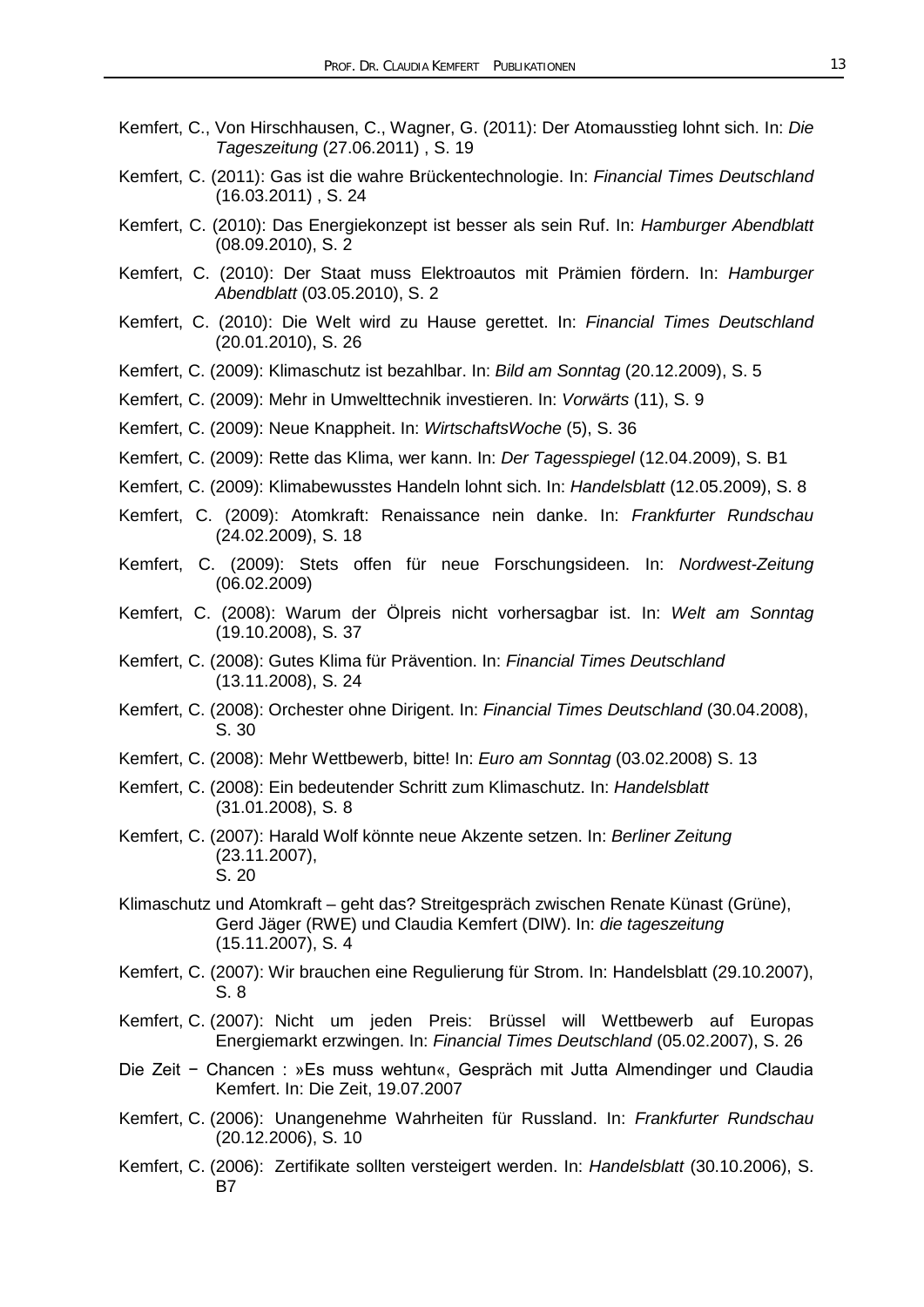- Kemfert, C., Von Hirschhausen, C., Wagner, G. (2011): Der Atomausstieg lohnt sich. In: *Die Tageszeitung* (27.06.2011) , S. 19
- Kemfert, C. (2011): Gas ist die wahre Brückentechnologie. In: *Financial Times Deutschland* (16.03.2011) , S. 24
- Kemfert, C. (2010): Das Energiekonzept ist besser als sein Ruf. In: *Hamburger Abendblatt* (08.09.2010), S. 2
- Kemfert, C. (2010): Der Staat muss Elektroautos mit Prämien fördern. In: *Hamburger Abendblatt* (03.05.2010), S. 2
- Kemfert, C. (2010): Die Welt wird zu Hause gerettet. In: *Financial Times Deutschland*  (20.01.2010), S. 26
- Kemfert, C. (2009): Klimaschutz ist bezahlbar. In: *Bild am Sonntag* (20.12.2009), S. 5
- Kemfert, C. (2009): Mehr in Umwelttechnik investieren. In: *Vorwärts* (11), S. 9
- Kemfert, C. (2009): Neue Knappheit. In: *WirtschaftsWoche* (5), S. 36
- Kemfert, C. (2009): Rette das Klima, wer kann. In: *Der Tagesspiegel* (12.04.2009), S. B1
- Kemfert, C. (2009): Klimabewusstes Handeln lohnt sich. In: *Handelsblatt* (12.05.2009), S. 8
- Kemfert, C. (2009): Atomkraft: Renaissance nein danke. In: *Frankfurter Rundschau*  (24.02.2009), S. 18
- Kemfert, C. (2009): Stets offen für neue Forschungsideen. In: *Nordwest-Zeitung*  (06.02.2009)
- Kemfert, C. (2008): Warum der Ölpreis nicht vorhersagbar ist. In: *Welt am Sonntag*  (19.10.2008), S. 37
- Kemfert, C. (2008): Gutes Klima für Prävention. In: *Financial Times Deutschland* (13.11.2008), S. 24
- Kemfert, C. (2008): Orchester ohne Dirigent. In: *Financial Times Deutschland* (30.04.2008), S. 30
- Kemfert, C. (2008): Mehr Wettbewerb, bitte! In: *Euro am Sonntag* (03.02.2008) S. 13
- Kemfert, C. (2008): Ein bedeutender Schritt zum Klimaschutz. In: *Handelsblatt* (31.01.2008), S. 8
- Kemfert, C. (2007): Harald Wolf könnte neue Akzente setzen. In: *Berliner Zeitung* (23.11.2007), S. 20
- Klimaschutz und Atomkraft geht das? Streitgespräch zwischen Renate Künast (Grüne), Gerd Jäger (RWE) und Claudia Kemfert (DIW). In: *die tageszeitung* (15.11.2007), S. 4
- Kemfert, C. (2007): Wir brauchen eine Regulierung für Strom. In: Handelsblatt (29.10.2007), S. 8
- Kemfert, C. (2007): Nicht um jeden Preis: Brüssel will Wettbewerb auf Europas Energiemarkt erzwingen. In: *Financial Times Deutschland* (05.02.2007), S. 26
- Die Zeit − Chancen : »Es muss wehtun«, Gespräch mit Jutta Almendinger und Claudia Kemfert. In: Die Zeit, 19.07.2007
- Kemfert, C. (2006): Unangenehme Wahrheiten für Russland. In: *Frankfurter Rundschau*  (20.12.2006), S. 10
- Kemfert, C. (2006): Zertifikate sollten versteigert werden. In: *Handelsblatt* (30.10.2006), S. B7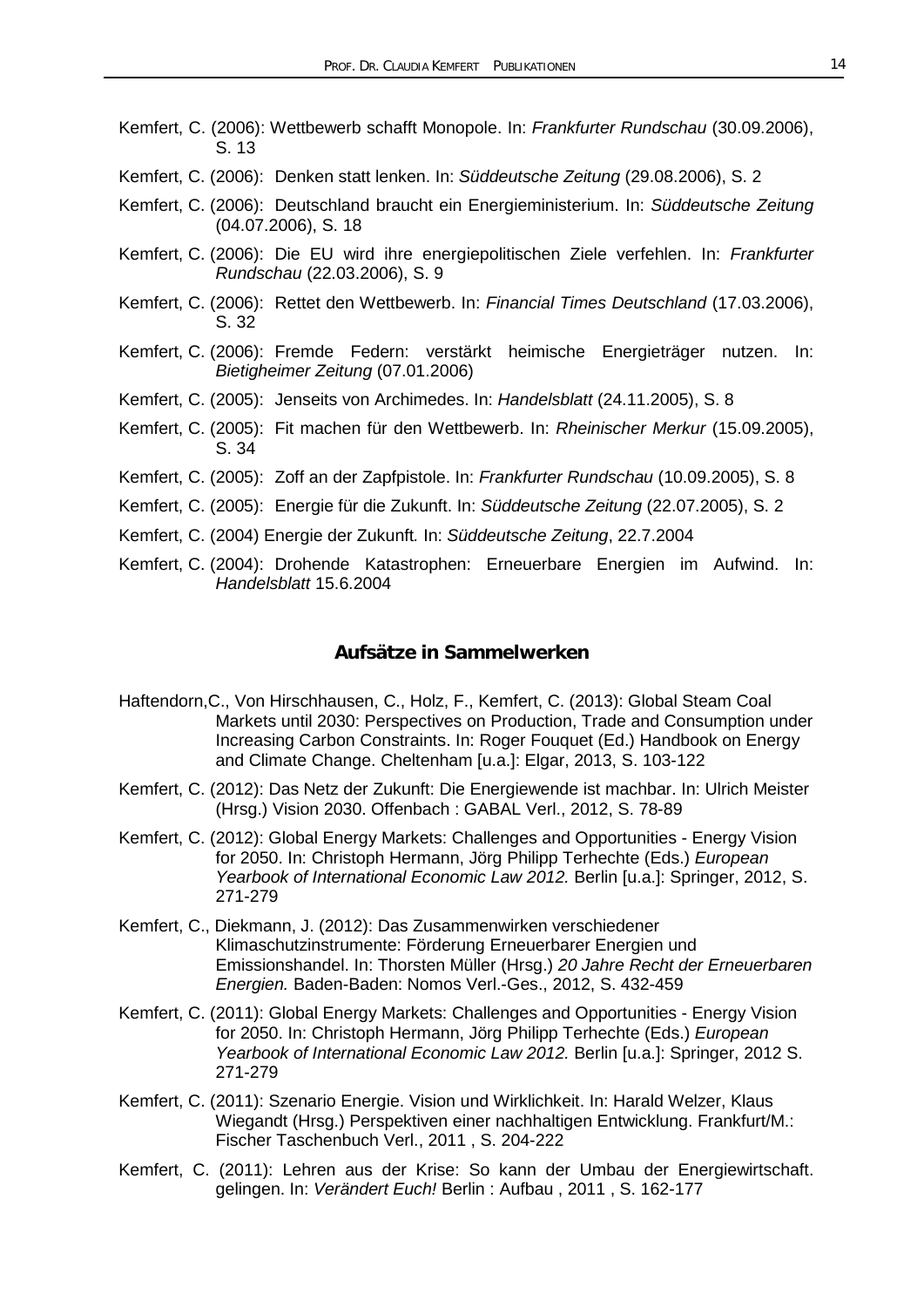- Kemfert, C. (2006): Wettbewerb schafft Monopole. In: *Frankfurter Rundschau* (30.09.2006), S. 13
- Kemfert, C. (2006): Denken statt lenken. In: *Süddeutsche Zeitung* (29.08.2006), S. 2
- Kemfert, C. (2006): Deutschland braucht ein Energieministerium. In: *Süddeutsche Zeitung*  (04.07.2006), S. 18
- Kemfert, C. (2006): Die EU wird ihre energiepolitischen Ziele verfehlen. In: *Frankfurter Rundschau* (22.03.2006), S. 9
- Kemfert, C. (2006): Rettet den Wettbewerb. In: *Financial Times Deutschland* (17.03.2006), S. 32
- Kemfert, C. (2006): Fremde Federn: verstärkt heimische Energieträger nutzen. In: *Bietigheimer Zeitung* (07.01.2006)
- Kemfert, C. (2005): Jenseits von Archimedes. In: *Handelsblatt* (24.11.2005), S. 8
- Kemfert, C. (2005): Fit machen für den Wettbewerb. In: *Rheinischer Merkur* (15.09.2005), S. 34
- Kemfert, C. (2005): Zoff an der Zapfpistole. In: *Frankfurter Rundschau* (10.09.2005), S. 8
- Kemfert, C. (2005): Energie für die Zukunft. In: *Süddeutsche Zeitung* (22.07.2005), S. 2
- Kemfert, C. (2004) Energie der Zukunft*.* In: *Süddeutsche Zeitung*, 22.7.2004
- Kemfert, C. (2004): Drohende Katastrophen: Erneuerbare Energien im Aufwind. In: *Handelsblatt* 15.6.2004

## **Aufsätze in Sammelwerken**

- Haftendorn,C., Von Hirschhausen, C., Holz, F., Kemfert, C. (2013): Global Steam Coal Markets until 2030: Perspectives on Production, Trade and Consumption under Increasing Carbon Constraints. In: Roger Fouquet (Ed.) Handbook on Energy and Climate Change. Cheltenham [u.a.]: Elgar, 2013, S. 103-122
- Kemfert, C. (2012): Das Netz der Zukunft: Die Energiewende ist machbar. In: Ulrich Meister (Hrsg.) Vision 2030. Offenbach : GABAL Verl., 2012, S. 78-89
- Kemfert, C. (2012): Global Energy Markets: Challenges and Opportunities Energy Vision for 2050. In: Christoph Hermann, Jörg Philipp Terhechte (Eds.) *European Yearbook of International Economic Law 2012.* Berlin [u.a.]: Springer, 2012, S. 271-279
- Kemfert, C., Diekmann, J. (2012): Das Zusammenwirken verschiedener Klimaschutzinstrumente: Förderung Erneuerbarer Energien und Emissionshandel. In: Thorsten Müller (Hrsg.) *20 Jahre Recht der Erneuerbaren Energien.* Baden-Baden: Nomos Verl.-Ges., 2012, S. 432-459
- Kemfert, C. (2011): Global Energy Markets: Challenges and Opportunities Energy Vision for 2050. In: Christoph Hermann, Jörg Philipp Terhechte (Eds.) *European Yearbook of International Economic Law 2012.* Berlin [u.a.]: Springer, 2012 S. 271-279
- Kemfert, C. (2011): Szenario Energie. Vision und Wirklichkeit. In: Harald Welzer, Klaus Wiegandt (Hrsg.) Perspektiven einer nachhaltigen Entwicklung. Frankfurt/M.: Fischer Taschenbuch Verl., 2011 , S. 204-222
- Kemfert, C. (2011): Lehren aus der Krise: So kann der Umbau der Energiewirtschaft. gelingen. In: *Verändert Euch!* Berlin : Aufbau , 2011 , S. 162-177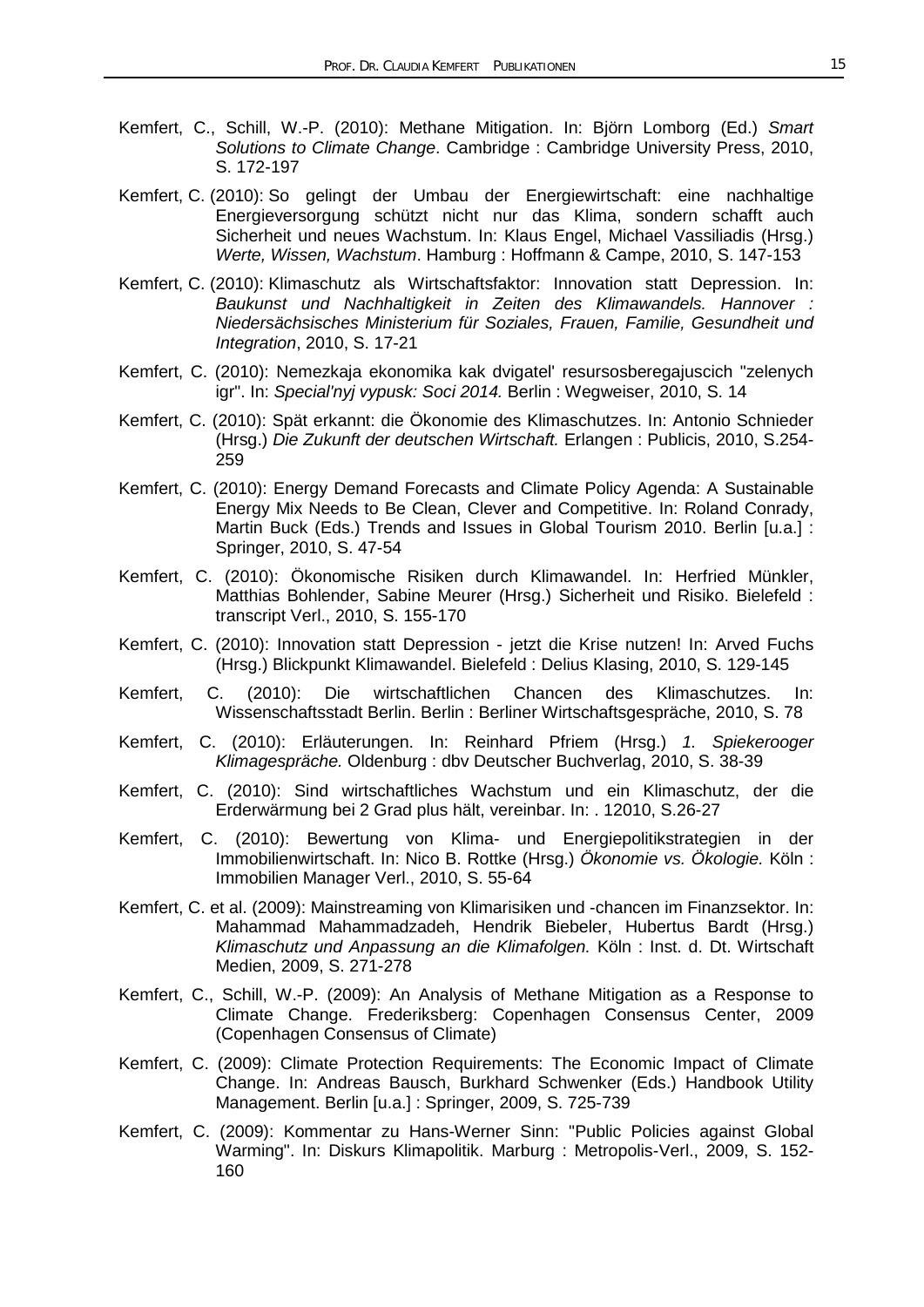- Kemfert, C., Schill, W.-P. (2010): Methane Mitigation. In: Björn Lomborg (Ed.) *Smart Solutions to Climate Change*. Cambridge : Cambridge University Press, 2010, S. 172-197
- Kemfert, C. (2010): So gelingt der Umbau der Energiewirtschaft: eine nachhaltige Energieversorgung schützt nicht nur das Klima, sondern schafft auch Sicherheit und neues Wachstum. In: Klaus Engel, Michael Vassiliadis (Hrsg.) *Werte, Wissen, Wachstum*. Hamburg : Hoffmann & Campe, 2010, S. 147-153
- Kemfert, C. (2010): Klimaschutz als Wirtschaftsfaktor: Innovation statt Depression. In: *Baukunst und Nachhaltigkeit in Zeiten des Klimawandels. Hannover : Niedersächsisches Ministerium für Soziales, Frauen, Familie, Gesundheit und Integration*, 2010, S. 17-21
- Kemfert, C. (2010): Nemezkaja ekonomika kak dvigatel' resursosberegajuscich "zelenych igr". In: *Special'nyj vypusk: Soci 2014.* Berlin : Wegweiser, 2010, S. 14
- Kemfert, C. (2010): Spät erkannt: die Ökonomie des Klimaschutzes. In: Antonio Schnieder (Hrsg.) *Die Zukunft der deutschen Wirtschaft.* Erlangen : Publicis, 2010, S.254- 259
- Kemfert, C. (2010): Energy Demand Forecasts and Climate Policy Agenda: A Sustainable Energy Mix Needs to Be Clean, Clever and Competitive. In: Roland Conrady, Martin Buck (Eds.) Trends and Issues in Global Tourism 2010. Berlin [u.a.] : Springer, 2010, S. 47-54
- Kemfert, C. (2010): Ökonomische Risiken durch Klimawandel. In: Herfried Münkler, Matthias Bohlender, Sabine Meurer (Hrsg.) Sicherheit und Risiko. Bielefeld : transcript Verl., 2010, S. 155-170
- Kemfert, C. (2010): Innovation statt Depression jetzt die Krise nutzen! In: Arved Fuchs (Hrsg.) Blickpunkt Klimawandel. Bielefeld : Delius Klasing, 2010, S. 129-145
- Kemfert, C. (2010): Die wirtschaftlichen Chancen des Klimaschutzes. In: Wissenschaftsstadt Berlin. Berlin : Berliner Wirtschaftsgespräche, 2010, S. 78
- Kemfert, C. (2010): Erläuterungen. In: Reinhard Pfriem (Hrsg.) *1. Spiekerooger Klimagespräche.* Oldenburg : dbv Deutscher Buchverlag, 2010, S. 38-39
- Kemfert, C. (2010): Sind wirtschaftliches Wachstum und ein Klimaschutz, der die Erderwärmung bei 2 Grad plus hält, vereinbar. In: . 12010, S.26-27
- Kemfert, C. (2010): Bewertung von Klima- und Energiepolitikstrategien in der Immobilienwirtschaft. In: Nico B. Rottke (Hrsg.) *Ökonomie vs. Ökologie.* Köln : Immobilien Manager Verl., 2010, S. 55-64
- Kemfert, C. et al. (2009): Mainstreaming von Klimarisiken und -chancen im Finanzsektor. In: Mahammad Mahammadzadeh, Hendrik Biebeler, Hubertus Bardt (Hrsg.) *Klimaschutz und Anpassung an die Klimafolgen.* Köln : Inst. d. Dt. Wirtschaft Medien, 2009, S. 271-278
- Kemfert, C., Schill, W.-P. (2009): An Analysis of Methane Mitigation as a Response to Climate Change. Frederiksberg: Copenhagen Consensus Center, 2009 (Copenhagen Consensus of Climate)
- Kemfert, C. (2009): Climate Protection Requirements: The Economic Impact of Climate Change. In: Andreas Bausch, Burkhard Schwenker (Eds.) Handbook Utility Management. Berlin [u.a.] : Springer, 2009, S. 725-739
- Kemfert, C. (2009): Kommentar zu Hans-Werner Sinn: "Public Policies against Global Warming". In: Diskurs Klimapolitik. Marburg : Metropolis-Verl., 2009, S. 152- 160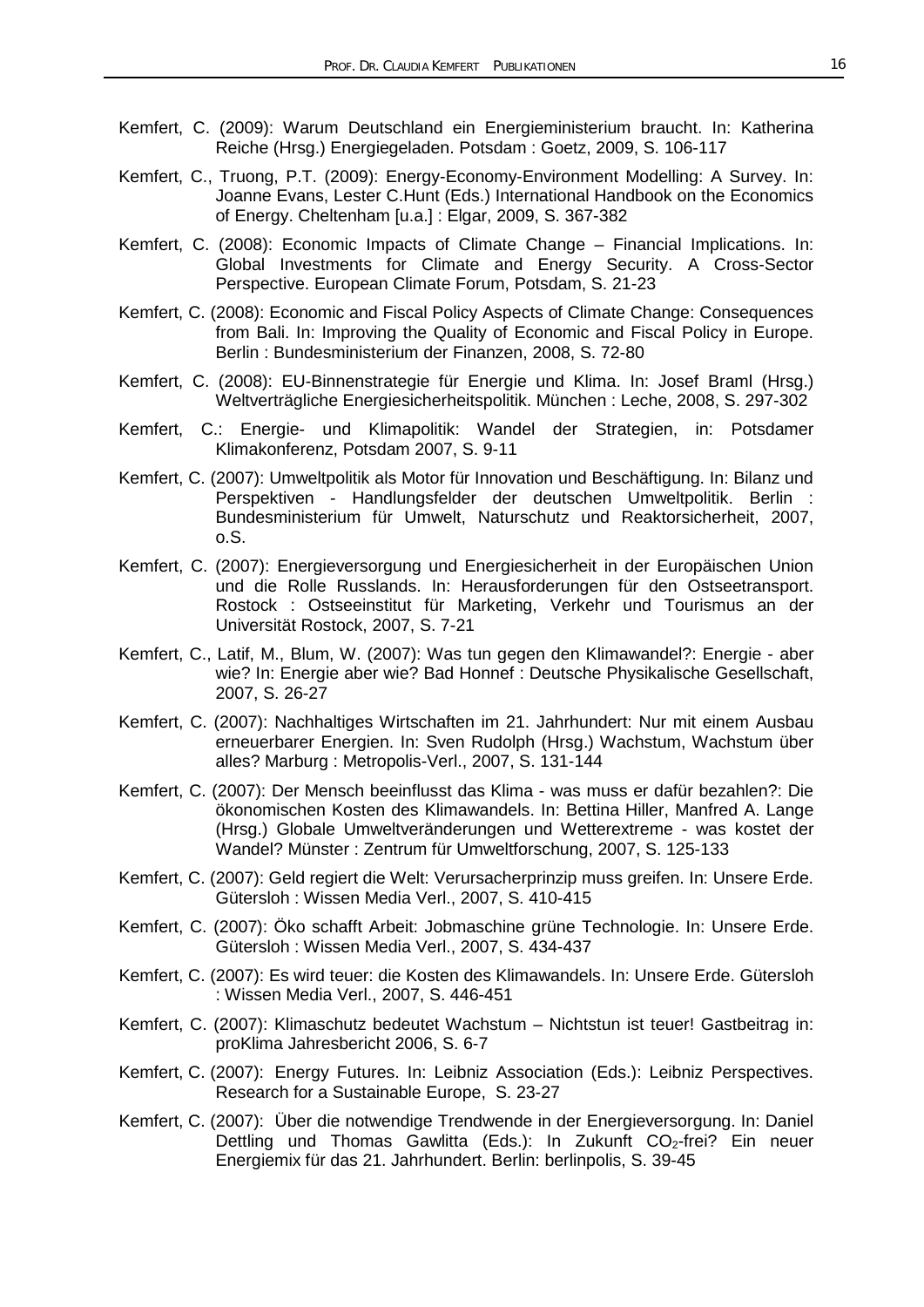- Kemfert, C. (2009): Warum Deutschland ein Energieministerium braucht. In: Katherina Reiche (Hrsg.) Energiegeladen. Potsdam : Goetz, 2009, S. 106-117
- Kemfert, C., Truong, P.T. (2009): Energy-Economy-Environment Modelling: A Survey. In: Joanne Evans, Lester C.Hunt (Eds.) International Handbook on the Economics of Energy. Cheltenham [u.a.] : Elgar, 2009, S. 367-382
- Kemfert, C. (2008): Economic Impacts of Climate Change Financial Implications. In: Global Investments for Climate and Energy Security. A Cross-Sector Perspective. European Climate Forum, Potsdam, S. 21-23
- Kemfert, C. (2008): Economic and Fiscal Policy Aspects of Climate Change: Consequences from Bali. In: Improving the Quality of Economic and Fiscal Policy in Europe. Berlin : Bundesministerium der Finanzen, 2008, S. 72-80
- Kemfert, C. (2008): EU-Binnenstrategie für Energie und Klima. In: Josef Braml (Hrsg.) Weltverträgliche Energiesicherheitspolitik. München : Leche, 2008, S. 297-302
- Kemfert, C.: Energie- und Klimapolitik: Wandel der Strategien, in: Potsdamer Klimakonferenz, Potsdam 2007, S. 9-11
- Kemfert, C. (2007): Umweltpolitik als Motor für Innovation und Beschäftigung. In: Bilanz und Perspektiven - Handlungsfelder der deutschen Umweltpolitik. Berlin : Bundesministerium für Umwelt, Naturschutz und Reaktorsicherheit, 2007, o.S.
- Kemfert, C. (2007): Energieversorgung und Energiesicherheit in der Europäischen Union und die Rolle Russlands. In: Herausforderungen für den Ostseetransport. Rostock : Ostseeinstitut für Marketing, Verkehr und Tourismus an der Universität Rostock, 2007, S. 7-21
- Kemfert, C., Latif, M., Blum, W. (2007): Was tun gegen den Klimawandel?: Energie aber wie? In: Energie aber wie? Bad Honnef : Deutsche Physikalische Gesellschaft, 2007, S. 26-27
- Kemfert, C. (2007): Nachhaltiges Wirtschaften im 21. Jahrhundert: Nur mit einem Ausbau erneuerbarer Energien. In: Sven Rudolph (Hrsg.) Wachstum, Wachstum über alles? Marburg : Metropolis-Verl., 2007, S. 131-144
- Kemfert, C. (2007): Der Mensch beeinflusst das Klima was muss er dafür bezahlen?: Die ökonomischen Kosten des Klimawandels. In: Bettina Hiller, Manfred A. Lange (Hrsg.) Globale Umweltveränderungen und Wetterextreme - was kostet der Wandel? Münster : Zentrum für Umweltforschung, 2007, S. 125-133
- Kemfert, C. (2007): Geld regiert die Welt: Verursacherprinzip muss greifen. In: Unsere Erde. Gütersloh : Wissen Media Verl., 2007, S. 410-415
- Kemfert, C. (2007): Öko schafft Arbeit: Jobmaschine grüne Technologie. In: Unsere Erde. Gütersloh : Wissen Media Verl., 2007, S. 434-437
- Kemfert, C. (2007): Es wird teuer: die Kosten des Klimawandels. In: Unsere Erde. Gütersloh : Wissen Media Verl., 2007, S. 446-451
- Kemfert, C. (2007): Klimaschutz bedeutet Wachstum Nichtstun ist teuer! Gastbeitrag in: proKlima Jahresbericht 2006, S. 6-7
- Kemfert, C. (2007): Energy Futures. In: Leibniz Association (Eds.): Leibniz Perspectives. Research for a Sustainable Europe, S. 23-27
- Kemfert, C. (2007): Über die notwendige Trendwende in der Energieversorgung. In: Daniel Dettling und Thomas Gawlitta (Eds.): In Zukunft CO<sub>2</sub>-frei? Ein neuer Energiemix für das 21. Jahrhundert. Berlin: berlinpolis, S. 39-45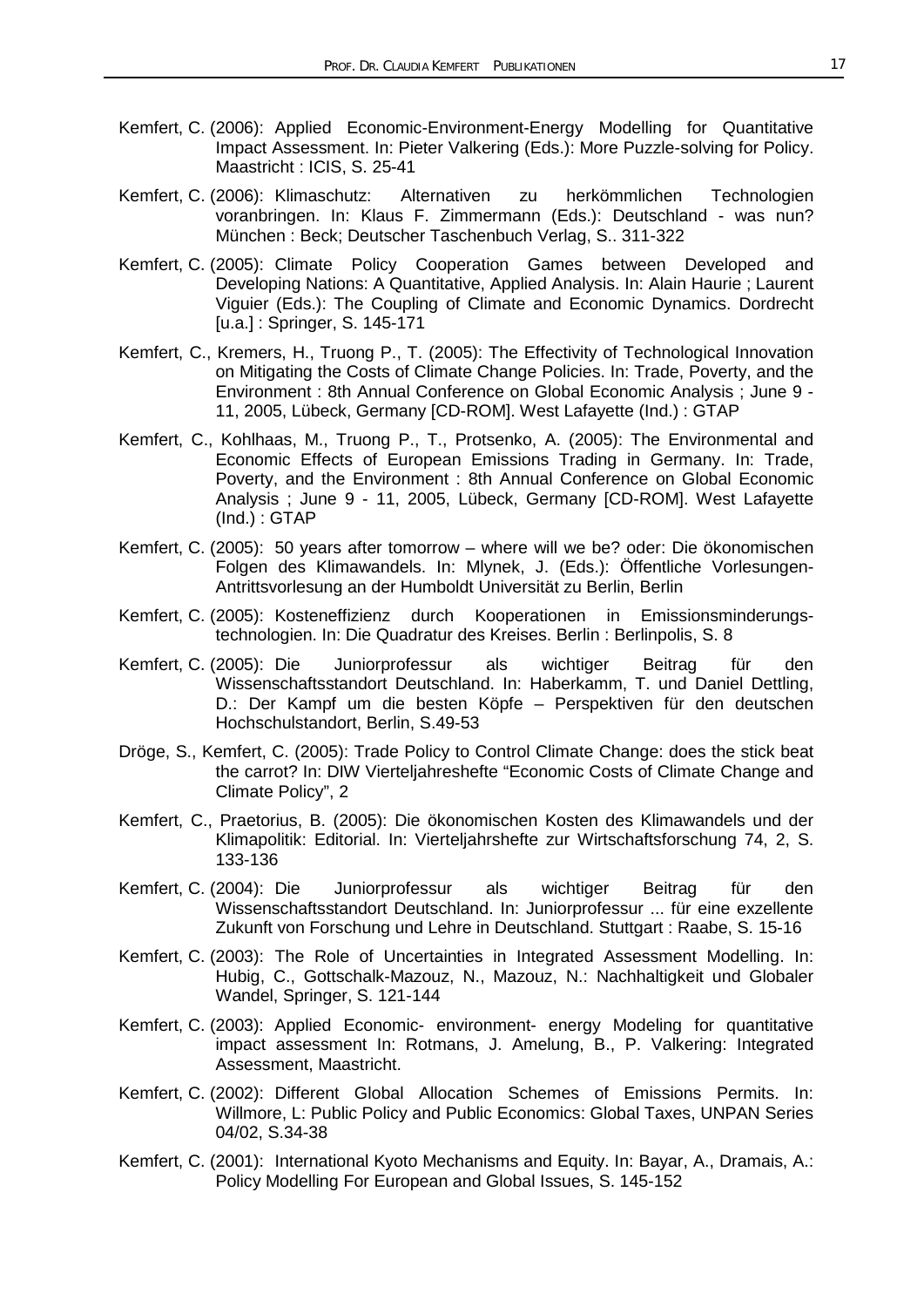- Kemfert, C. (2006): Applied Economic-Environment-Energy Modelling for Quantitative Impact Assessment. In: Pieter Valkering (Eds.): More Puzzle-solving for Policy. Maastricht : ICIS, S. 25-41
- Kemfert, C. (2006): Klimaschutz: Alternativen zu herkömmlichen Technologien voranbringen. In: Klaus F. Zimmermann (Eds.): Deutschland - was nun? München : Beck; Deutscher Taschenbuch Verlag, S.. 311-322
- Kemfert, C. (2005): Climate Policy Cooperation Games between Developed and Developing Nations: A Quantitative, Applied Analysis. In: Alain Haurie ; Laurent Viguier (Eds.): The Coupling of Climate and Economic Dynamics. Dordrecht [u.a.] : Springer, S. 145-171
- Kemfert, C., Kremers, H., Truong P., T. (2005): The Effectivity of Technological Innovation on Mitigating the Costs of Climate Change Policies. In: Trade, Poverty, and the Environment : 8th Annual Conference on Global Economic Analysis ; June 9 - 11, 2005, Lübeck, Germany [CD-ROM]. West Lafayette (Ind.) : GTAP
- Kemfert, C., Kohlhaas, M., Truong P., T., Protsenko, A. (2005): The Environmental and Economic Effects of European Emissions Trading in Germany. In: Trade, Poverty, and the Environment : 8th Annual Conference on Global Economic Analysis ; June 9 - 11, 2005, Lübeck, Germany [CD-ROM]. West Lafayette (Ind.) : GTAP
- Kemfert, C. (2005): 50 years after tomorrow where will we be? oder: Die ökonomischen Folgen des Klimawandels. In: Mlynek, J. (Eds.): Öffentliche Vorlesungen-Antrittsvorlesung an der Humboldt Universität zu Berlin, Berlin
- Kemfert, C. (2005): Kosteneffizienz durch Kooperationen in Emissionsminderungstechnologien. In: Die Quadratur des Kreises. Berlin : Berlinpolis, S. 8
- Kemfert, C. (2005): Die Juniorprofessur als wichtiger Beitrag für den Wissenschaftsstandort Deutschland. In: Haberkamm, T. und Daniel Dettling, D.: Der Kampf um die besten Köpfe – Perspektiven für den deutschen Hochschulstandort, Berlin, S.49-53
- Dröge, S., Kemfert, C. (2005): Trade Policy to Control Climate Change: does the stick beat the carrot? In: DIW Vierteljahreshefte "Economic Costs of Climate Change and Climate Policy", 2
- Kemfert, C., Praetorius, B. (2005): Die ökonomischen Kosten des Klimawandels und der Klimapolitik: Editorial. In: Vierteljahrshefte zur Wirtschaftsforschung 74, 2, S. 133-136
- Kemfert, C. (2004): Die Juniorprofessur als wichtiger Beitrag für den Wissenschaftsstandort Deutschland. In: Juniorprofessur ... für eine exzellente Zukunft von Forschung und Lehre in Deutschland. Stuttgart : Raabe, S. 15-16
- Kemfert, C. (2003): The Role of Uncertainties in Integrated Assessment Modelling. In: Hubig, C., Gottschalk-Mazouz, N., Mazouz, N.: Nachhaltigkeit und Globaler Wandel, Springer, S. 121-144
- Kemfert, C. (2003): Applied Economic- environment- energy Modeling for quantitative impact assessment In: Rotmans, J. Amelung, B., P. Valkering: Integrated Assessment, Maastricht.
- Kemfert, C. (2002): Different Global Allocation Schemes of Emissions Permits. In: Willmore, L: Public Policy and Public Economics: Global Taxes, UNPAN Series 04/02, S.34-38
- Kemfert, C. (2001): International Kyoto Mechanisms and Equity. In: Bayar, A., Dramais, A.: Policy Modelling For European and Global Issues, S. 145-152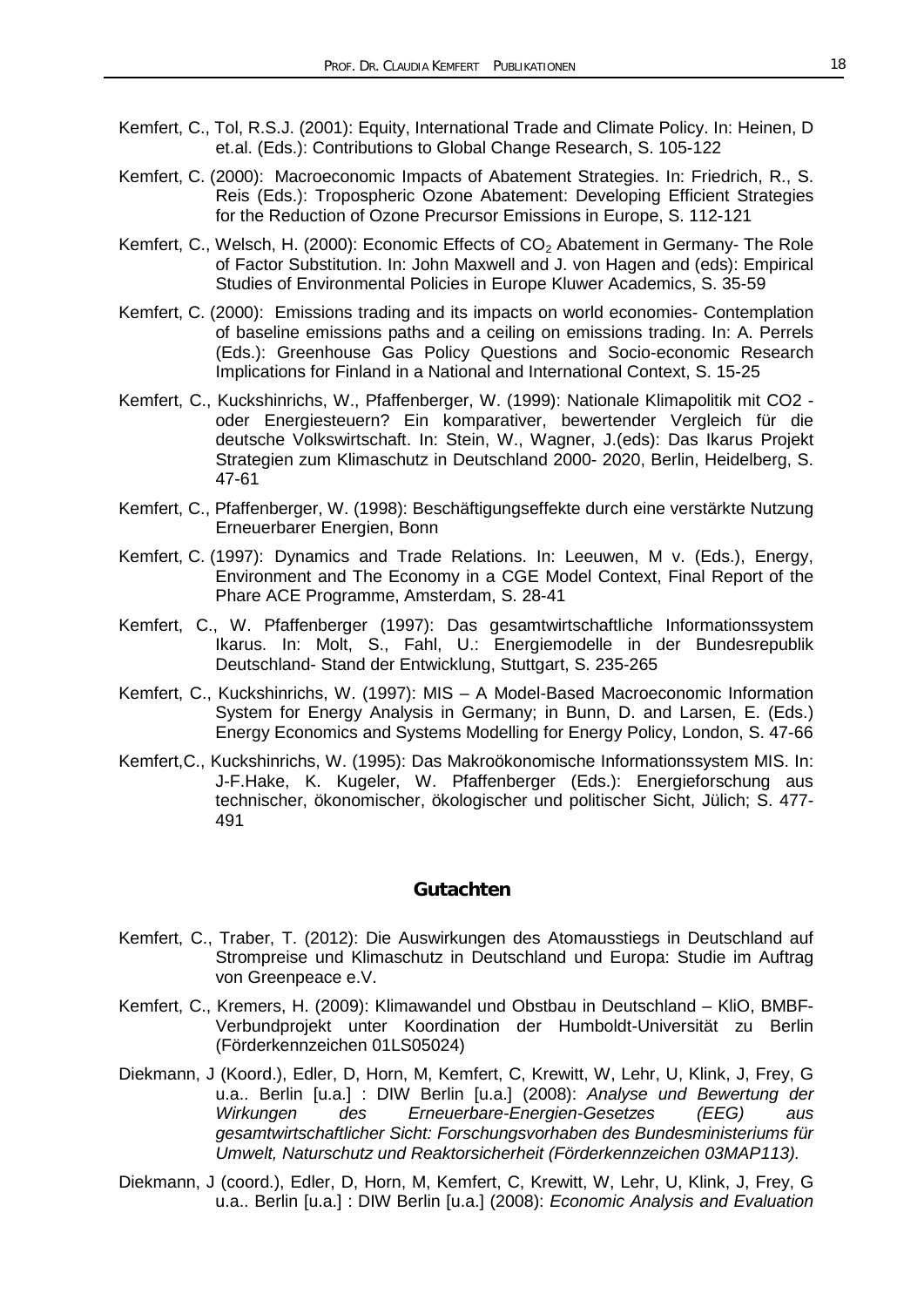- Kemfert, C., Tol, R.S.J. (2001): Equity, International Trade and Climate Policy. In: Heinen, D et.al. (Eds.): Contributions to Global Change Research, S. 105-122
- Kemfert, C. (2000): Macroeconomic Impacts of Abatement Strategies. In: Friedrich, R., S. Reis (Eds.): Tropospheric Ozone Abatement: Developing Efficient Strategies for the Reduction of Ozone Precursor Emissions in Europe, S. 112-121
- Kemfert, C., Welsch, H. (2000): Economic Effects of  $CO<sub>2</sub>$  Abatement in Germany- The Role of Factor Substitution. In: John Maxwell and J. von Hagen and (eds): Empirical Studies of Environmental Policies in Europe Kluwer Academics, S. 35-59
- Kemfert, C. (2000): Emissions trading and its impacts on world economies- Contemplation of baseline emissions paths and a ceiling on emissions trading. In: A. Perrels (Eds.): Greenhouse Gas Policy Questions and Socio-economic Research Implications for Finland in a National and International Context, S. 15-25
- Kemfert, C., Kuckshinrichs, W., Pfaffenberger, W. (1999): Nationale Klimapolitik mit CO2 oder Energiesteuern? Ein komparativer, bewertender Vergleich für die deutsche Volkswirtschaft. In: Stein, W., Wagner, J.(eds): Das Ikarus Projekt Strategien zum Klimaschutz in Deutschland 2000- 2020, Berlin, Heidelberg, S. 47-61
- Kemfert, C., Pfaffenberger, W. (1998): Beschäftigungseffekte durch eine verstärkte Nutzung Erneuerbarer Energien, Bonn
- Kemfert, C. (1997): Dynamics and Trade Relations. In: Leeuwen, M v. (Eds.), Energy, Environment and The Economy in a CGE Model Context, Final Report of the Phare ACE Programme, Amsterdam, S. 28-41
- Kemfert, C., W. Pfaffenberger (1997): Das gesamtwirtschaftliche Informationssystem Ikarus. In: Molt, S., Fahl, U.: Energiemodelle in der Bundesrepublik Deutschland- Stand der Entwicklung, Stuttgart, S. 235-265
- Kemfert, C., Kuckshinrichs, W. (1997): MIS A Model-Based Macroeconomic Information System for Energy Analysis in Germany; in Bunn, D. and Larsen, E. (Eds.) Energy Economics and Systems Modelling for Energy Policy, London, S. 47-66
- Kemfert,C., Kuckshinrichs, W. (1995): Das Makroökonomische Informationssystem MIS. In: J-F.Hake, K. Kugeler, W. Pfaffenberger (Eds.): Energieforschung aus technischer, ökonomischer, ökologischer und politischer Sicht, Jülich; S. 477- 491

#### **Gutachten**

- Kemfert, C., Traber, T. (2012): Die Auswirkungen des Atomausstiegs in Deutschland auf Strompreise und Klimaschutz in Deutschland und Europa: Studie im Auftrag von Greenpeace e.V.
- Kemfert, C., Kremers, H. (2009): Klimawandel und Obstbau in Deutschland KliO, BMBF-Verbundprojekt unter Koordination der Humboldt-Universität zu Berlin (Förderkennzeichen 01LS05024)
- Diekmann, J (Koord.), Edler, D, Horn, M, Kemfert, C, Krewitt, W, Lehr, U, Klink, J, Frey, G u.a.. Berlin [u.a.] : DIW Berlin [u.a.] (2008): *Analyse und Bewertung der Wirkungen des Erneuerbare-Energien-Gesetzes (EEG) aus gesamtwirtschaftlicher Sicht: Forschungsvorhaben des Bundesministeriums für Umwelt, Naturschutz und Reaktorsicherheit (Förderkennzeichen 03MAP113).*
- Diekmann, J (coord.), Edler, D, Horn, M, Kemfert, C, Krewitt, W, Lehr, U, Klink, J, Frey, G u.a.. Berlin [u.a.] : DIW Berlin [u.a.] (2008): *Economic Analysis and Evaluation*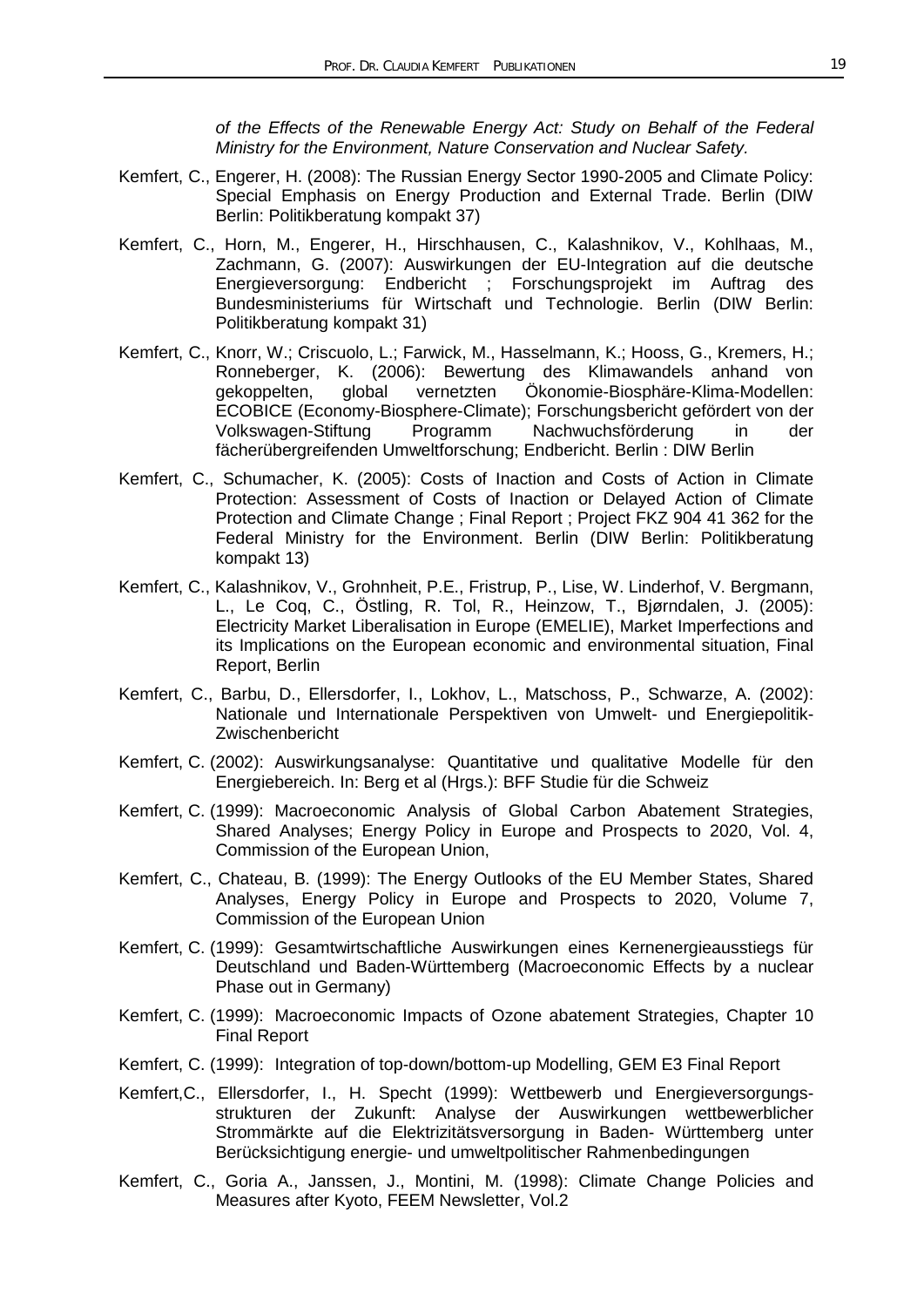*of the Effects of the Renewable Energy Act: Study on Behalf of the Federal Ministry for the Environment, Nature Conservation and Nuclear Safety.*

- Kemfert, C., Engerer, H. (2008): The Russian Energy Sector 1990-2005 and Climate Policy: Special Emphasis on Energy Production and External Trade. Berlin (DIW Berlin: Politikberatung kompakt 37)
- Kemfert, C., Horn, M., Engerer, H., Hirschhausen, C., Kalashnikov, V., Kohlhaas, M., Zachmann, G. (2007): Auswirkungen der EU-Integration auf die deutsche Energieversorgung: Endbericht ; Forschungsprojekt im Auftrag des Bundesministeriums für Wirtschaft und Technologie. Berlin (DIW Berlin: Politikberatung kompakt 31)
- Kemfert, C., Knorr, W.; Criscuolo, L.; Farwick, M., Hasselmann, K.; Hooss, G., Kremers, H.; Ronneberger, K. (2006): Bewertung des Klimawandels anhand von<br>gekoppelten, global vernetzten Ökonomie-Biosphäre-Klima-Modellen: global vernetzten Ökonomie-Biosphäre-Klima-Modellen: ECOBICE (Economy-Biosphere-Climate); Forschungsbericht gefördert von der Volkswagen-Stiftung Programm Nachwuchsförderung in der fächerübergreifenden Umweltforschung; Endbericht. Berlin : DIW Berlin
- Kemfert, C., Schumacher, K. (2005): Costs of Inaction and Costs of Action in Climate Protection: Assessment of Costs of Inaction or Delayed Action of Climate Protection and Climate Change ; Final Report ; Project FKZ 904 41 362 for the Federal Ministry for the Environment. Berlin (DIW Berlin: Politikberatung kompakt 13)
- Kemfert, C., Kalashnikov, V., Grohnheit, P.E., Fristrup, P., Lise, W. Linderhof, V. Bergmann, L., Le Coq, C., Östling, R. Tol, R., Heinzow, T., Bjørndalen, J. (2005): Electricity Market Liberalisation in Europe (EMELIE), Market Imperfections and its Implications on the European economic and environmental situation, Final Report, Berlin
- Kemfert, C., Barbu, D., Ellersdorfer, I., Lokhov, L., Matschoss, P., Schwarze, A. (2002): Nationale und Internationale Perspektiven von Umwelt- und Energiepolitik-Zwischenbericht
- Kemfert, C. (2002): Auswirkungsanalyse: Quantitative und qualitative Modelle für den Energiebereich. In: Berg et al (Hrgs.): BFF Studie für die Schweiz
- Kemfert, C. (1999): Macroeconomic Analysis of Global Carbon Abatement Strategies, Shared Analyses; Energy Policy in Europe and Prospects to 2020, Vol. 4, Commission of the European Union,
- Kemfert, C., Chateau, B. (1999): The Energy Outlooks of the EU Member States, Shared Analyses, Energy Policy in Europe and Prospects to 2020, Volume 7, Commission of the European Union
- Kemfert, C. (1999): Gesamtwirtschaftliche Auswirkungen eines Kernenergieausstiegs für Deutschland und Baden-Württemberg (Macroeconomic Effects by a nuclear Phase out in Germany)
- Kemfert, C. (1999): Macroeconomic Impacts of Ozone abatement Strategies, Chapter 10 Final Report
- Kemfert, C. (1999): Integration of top-down/bottom-up Modelling, GEM E3 Final Report
- Kemfert,C., Ellersdorfer, I., H. Specht (1999): Wettbewerb und Energieversorgungsstrukturen der Zukunft: Analyse der Auswirkungen wettbewerblicher Strommärkte auf die Elektrizitätsversorgung in Baden- Württemberg unter Berücksichtigung energie- und umweltpolitischer Rahmenbedingungen
- Kemfert, C., Goria A., Janssen, J., Montini, M. (1998): Climate Change Policies and Measures after Kyoto, FEEM Newsletter, Vol.2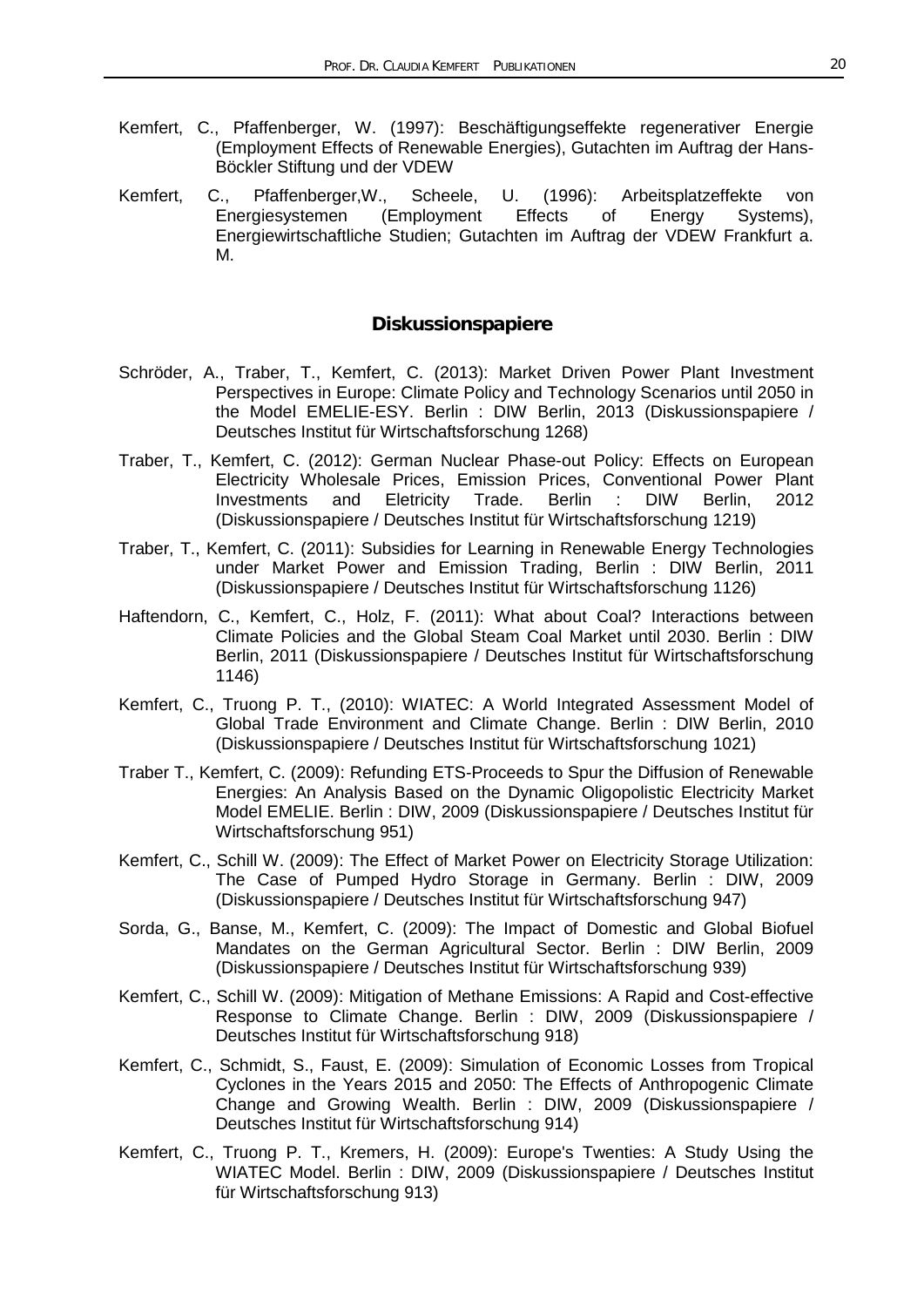- Kemfert, C., Pfaffenberger, W. (1997): Beschäftigungseffekte regenerativer Energie (Employment Effects of Renewable Energies), Gutachten im Auftrag der Hans-Böckler Stiftung und der VDEW
- Kemfert, C., Pfaffenberger, W., Scheele, U. (1996): Arbeitsplatzeffekte von<br>Energiesystemen (Employment Effects of Energy Systems), Energiesystemen (Employment Effects of Energy Systems), Energiewirtschaftliche Studien; Gutachten im Auftrag der VDEW Frankfurt a. M.

## **Diskussionspapiere**

- Schröder, A., Traber, T., Kemfert, C. (2013): Market Driven Power Plant Investment Perspectives in Europe: Climate Policy and Technology Scenarios until 2050 in the Model EMELIE-ESY. Berlin : DIW Berlin, 2013 (Diskussionspapiere / Deutsches Institut für Wirtschaftsforschung 1268)
- Traber, T., Kemfert, C. (2012): German Nuclear Phase-out Policy: Effects on European Electricity Wholesale Prices, Emission Prices, Conventional Power Plant<br>Investments and Eletricity Trade. Berlin : DIW Berlin, 2012 Investments (Diskussionspapiere / Deutsches Institut für Wirtschaftsforschung 1219)
- Traber, T., Kemfert, C. (2011): Subsidies for Learning in Renewable Energy Technologies under Market Power and Emission Trading, Berlin : DIW Berlin, 2011 (Diskussionspapiere / Deutsches Institut für Wirtschaftsforschung 1126)
- Haftendorn, C., Kemfert, C., Holz, F. (2011): What about Coal? Interactions between Climate Policies and the Global Steam Coal Market until 2030. Berlin : DIW Berlin, 2011 (Diskussionspapiere / Deutsches Institut für Wirtschaftsforschung 1146)
- Kemfert, C., Truong P. T., (2010): WIATEC: A World Integrated Assessment Model of Global Trade Environment and Climate Change. Berlin : DIW Berlin, 2010 (Diskussionspapiere / Deutsches Institut für Wirtschaftsforschung 1021)
- Traber T., Kemfert, C. (2009): Refunding ETS-Proceeds to Spur the Diffusion of Renewable Energies: An Analysis Based on the Dynamic Oligopolistic Electricity Market Model EMELIE. Berlin : DIW, 2009 (Diskussionspapiere / Deutsches Institut für Wirtschaftsforschung 951)
- Kemfert, C., Schill W. (2009): The Effect of Market Power on Electricity Storage Utilization: The Case of Pumped Hydro Storage in Germany. Berlin : DIW, 2009 (Diskussionspapiere / Deutsches Institut für Wirtschaftsforschung 947)
- Sorda, G., Banse, M., Kemfert, C. (2009): The Impact of Domestic and Global Biofuel Mandates on the German Agricultural Sector. Berlin : DIW Berlin, 2009 (Diskussionspapiere / Deutsches Institut für Wirtschaftsforschung 939)
- Kemfert, C., Schill W. (2009): Mitigation of Methane Emissions: A Rapid and Cost-effective Response to Climate Change. Berlin : DIW, 2009 (Diskussionspapiere / Deutsches Institut für Wirtschaftsforschung 918)
- Kemfert, C., Schmidt, S., Faust, E. (2009): Simulation of Economic Losses from Tropical Cyclones in the Years 2015 and 2050: The Effects of Anthropogenic Climate Change and Growing Wealth. Berlin : DIW, 2009 (Diskussionspapiere / Deutsches Institut für Wirtschaftsforschung 914)
- Kemfert, C., Truong P. T., Kremers, H. (2009): Europe's Twenties: A Study Using the WIATEC Model. Berlin : DIW, 2009 (Diskussionspapiere / Deutsches Institut für Wirtschaftsforschung 913)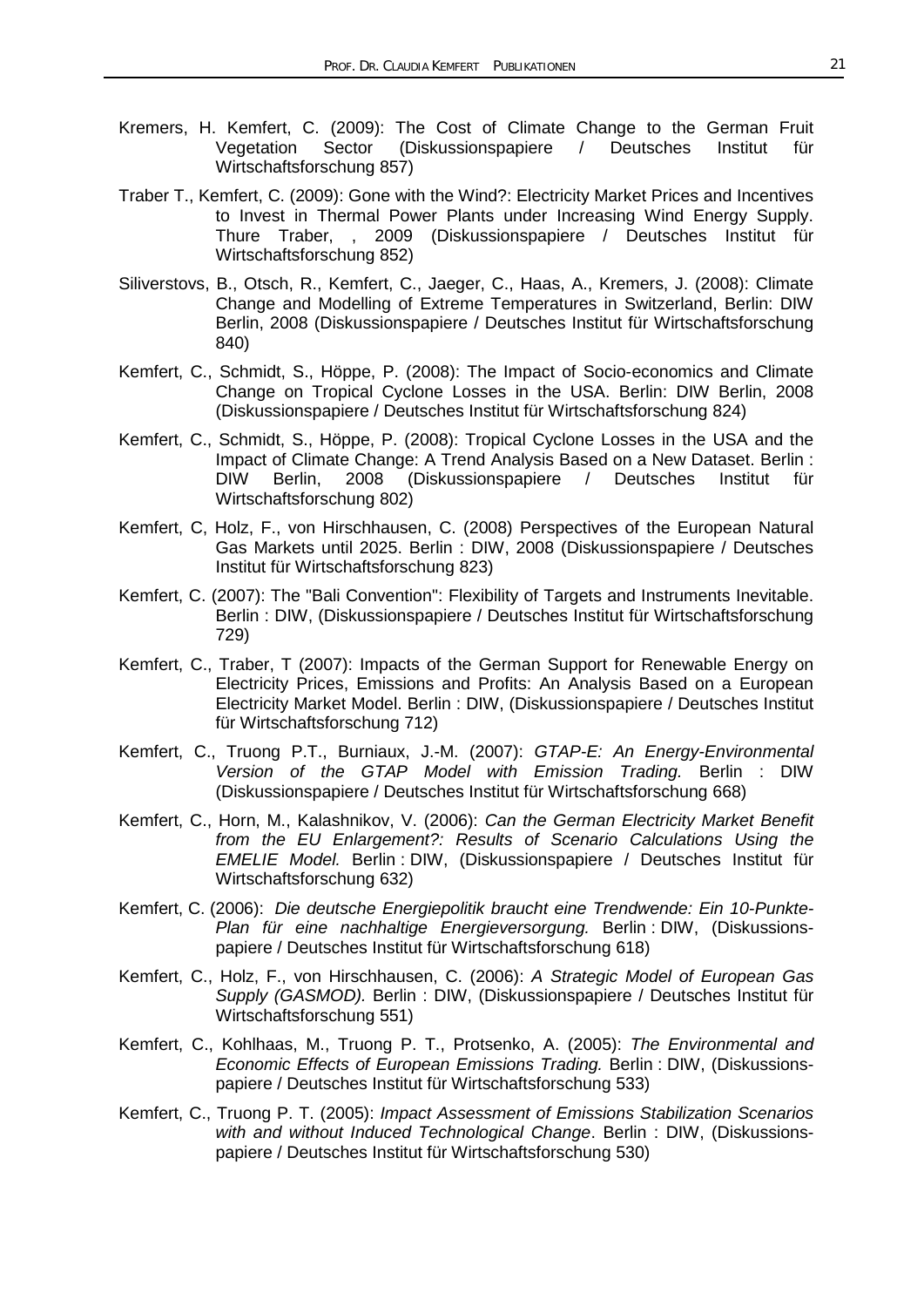- Kremers, H. Kemfert, C. (2009): The Cost of Climate Change to the German Fruit<br>Vegetation Sector (Diskussionspapiere / Deutsches Institut für Vegetation Sector (Diskussionspapiere / Deutsches Institut für Wirtschaftsforschung 857)
- Traber T., Kemfert, C. (2009): Gone with the Wind?: Electricity Market Prices and Incentives to Invest in Thermal Power Plants under Increasing Wind Energy Supply. Thure Traber, , 2009 (Diskussionspapiere / Deutsches Institut für Wirtschaftsforschung 852)
- Siliverstovs, B., Otsch, R., Kemfert, C., Jaeger, C., Haas, A., Kremers, J. (2008): Climate Change and Modelling of Extreme Temperatures in Switzerland, Berlin: DIW Berlin, 2008 (Diskussionspapiere / Deutsches Institut für Wirtschaftsforschung 840)
- Kemfert, C., Schmidt, S., Höppe, P. (2008): The Impact of Socio-economics and Climate Change on Tropical Cyclone Losses in the USA. Berlin: DIW Berlin, 2008 (Diskussionspapiere / Deutsches Institut für Wirtschaftsforschung 824)
- Kemfert, C., Schmidt, S., Höppe, P. (2008): Tropical Cyclone Losses in the USA and the Impact of Climate Change: A Trend Analysis Based on a New Dataset. Berlin : DIW Berlin, 2008 (Diskussionspapiere / Deutsches Institut für Wirtschaftsforschung 802)
- Kemfert, C, Holz, F., von Hirschhausen, C. (2008) Perspectives of the European Natural Gas Markets until 2025. Berlin : DIW, 2008 (Diskussionspapiere / Deutsches Institut für Wirtschaftsforschung 823)
- Kemfert, C. (2007): The "Bali Convention": Flexibility of Targets and Instruments Inevitable. Berlin : DIW, (Diskussionspapiere / Deutsches Institut für Wirtschaftsforschung 729)
- Kemfert, C., Traber, T (2007): Impacts of the German Support for Renewable Energy on Electricity Prices, Emissions and Profits: An Analysis Based on a European Electricity Market Model. Berlin : DIW, (Diskussionspapiere / Deutsches Institut für Wirtschaftsforschung 712)
- Kemfert, C., Truong P.T., Burniaux, J.-M. (2007): *GTAP-E: An Energy-Environmental Version of the GTAP Model with Emission Trading.* Berlin : DIW (Diskussionspapiere / Deutsches Institut für Wirtschaftsforschung 668)
- Kemfert, C., Horn, M., Kalashnikov, V. (2006): *Can the German Electricity Market Benefit from the EU Enlargement?: Results of Scenario Calculations Using the EMELIE Model.* Berlin : DIW, (Diskussionspapiere / Deutsches Institut für Wirtschaftsforschung 632)
- Kemfert, C. (2006): *Die deutsche Energiepolitik braucht eine Trendwende: Ein 10-Punkte-Plan für eine nachhaltige Energieversorgung.* Berlin : DIW, (Diskussionspapiere / Deutsches Institut für Wirtschaftsforschung 618)
- Kemfert, C., Holz, F., von Hirschhausen, C. (2006): *A Strategic Model of European Gas Supply (GASMOD).* Berlin : DIW, (Diskussionspapiere / Deutsches Institut für Wirtschaftsforschung 551)
- Kemfert, C., Kohlhaas, M., Truong P. T., Protsenko, A. (2005): *The Environmental and Economic Effects of European Emissions Trading.* Berlin : DIW, (Diskussionspapiere / Deutsches Institut für Wirtschaftsforschung 533)
- Kemfert, C., Truong P. T. (2005): *Impact Assessment of Emissions Stabilization Scenarios with and without Induced Technological Change*. Berlin : DIW, (Diskussionspapiere / Deutsches Institut für Wirtschaftsforschung 530)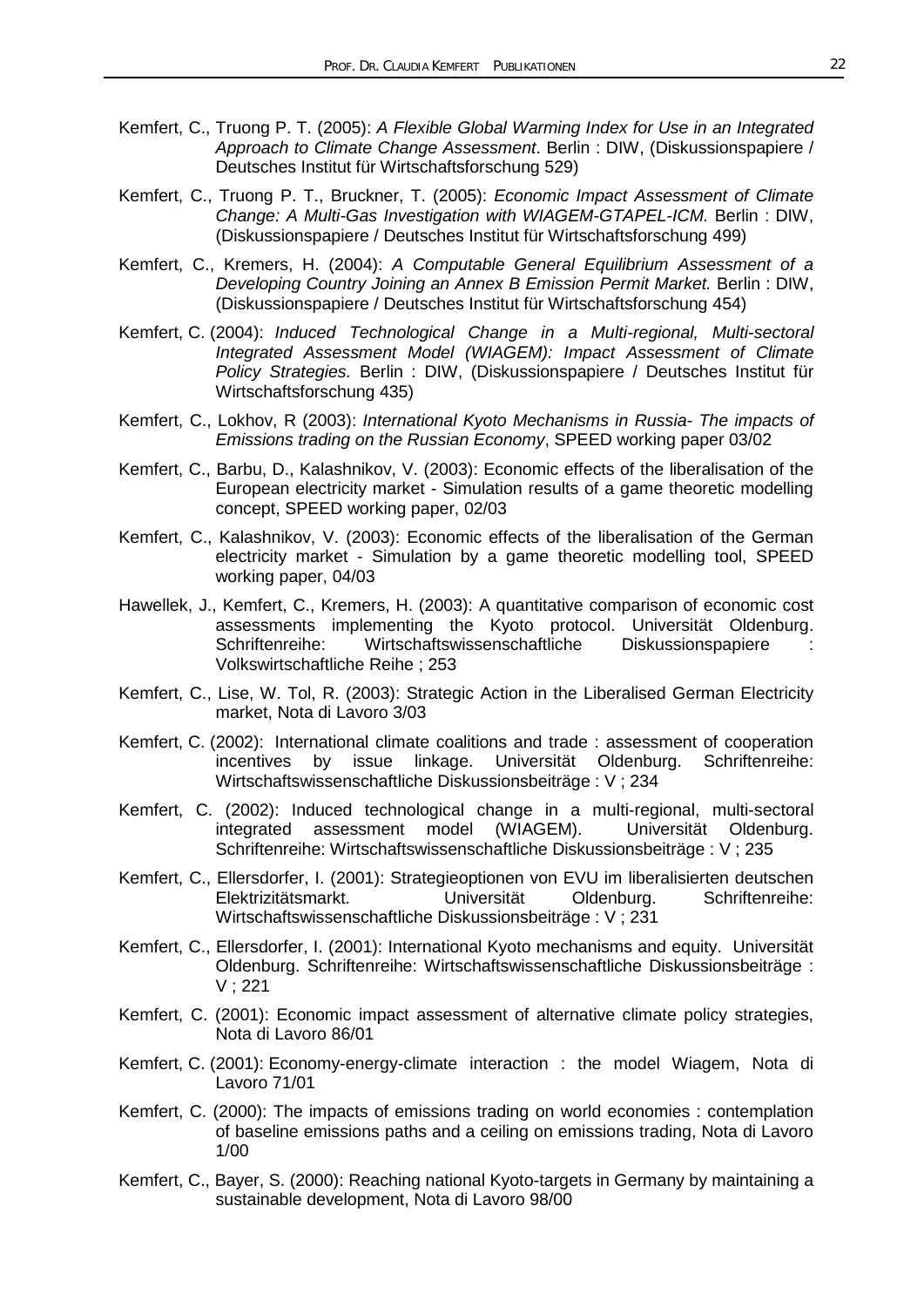- Kemfert, C., Truong P. T. (2005): *A Flexible Global Warming Index for Use in an Integrated Approach to Climate Change Assessment*. Berlin : DIW, (Diskussionspapiere / Deutsches Institut für Wirtschaftsforschung 529)
- Kemfert, C., Truong P. T., Bruckner, T. (2005): *Economic Impact Assessment of Climate Change: A Multi-Gas Investigation with WIAGEM-GTAPEL-ICM.* Berlin : DIW, (Diskussionspapiere / Deutsches Institut für Wirtschaftsforschung 499)
- Kemfert, C., Kremers, H. (2004): *A Computable General Equilibrium Assessment of a Developing Country Joining an Annex B Emission Permit Market.* Berlin : DIW, (Diskussionspapiere / Deutsches Institut für Wirtschaftsforschung 454)
- Kemfert, C. (2004): *Induced Technological Change in a Multi-regional, Multi-sectoral Integrated Assessment Model (WIAGEM): Impact Assessment of Climate Policy Strategies.* Berlin : DIW, (Diskussionspapiere / Deutsches Institut für Wirtschaftsforschung 435)
- Kemfert, C., Lokhov, R (2003): *International Kyoto Mechanisms in Russia- The impacts of Emissions trading on the Russian Economy*, SPEED working paper 03/02
- Kemfert, C., Barbu, D., Kalashnikov, V. (2003): Economic effects of the liberalisation of the European electricity market - Simulation results of a game theoretic modelling concept, SPEED working paper, 02/03
- Kemfert, C., Kalashnikov, V. (2003): Economic effects of the liberalisation of the German electricity market - Simulation by a game theoretic modelling tool, SPEED working paper, 04/03
- Hawellek, J., Kemfert, C., Kremers, H. (2003): A quantitative comparison of economic cost assessments implementing the Kyoto protocol. Universität Oldenburg. Schriftenreihe: Wirtschaftswissenschaftliche Diskussionspapiere : Volkswirtschaftliche Reihe ; 253
- Kemfert, C., Lise, W. Tol, R. (2003): Strategic Action in the Liberalised German Electricity market, Nota di Lavoro 3/03
- Kemfert, C. (2002): International climate coalitions and trade : assessment of cooperation incentives by issue linkage. Universität Oldenburg. Schriftenreihe: Wirtschaftswissenschaftliche Diskussionsbeiträge : V ; 234
- Kemfert, C. (2002): Induced technological change in a multi-regional, multi-sectoral integrated assessment model (WIAGEM). Universität Oldenburg. Schriftenreihe: Wirtschaftswissenschaftliche Diskussionsbeiträge : V ; 235
- Kemfert, C., Ellersdorfer, I. (2001): Strategieoptionen von EVU im liberalisierten deutschen Elektrizitätsmarkt. Universität Oldenburg. Schriftenreihe: Wirtschaftswissenschaftliche Diskussionsbeiträge : V ; 231
- Kemfert, C., Ellersdorfer, I. (2001): International Kyoto mechanisms and equity. Universität Oldenburg. Schriftenreihe: Wirtschaftswissenschaftliche Diskussionsbeiträge : V ; 221
- Kemfert, C. (2001): Economic impact assessment of alternative climate policy strategies, Nota di Lavoro 86/01
- Kemfert, C. (2001): Economy-energy-climate interaction : the model Wiagem, Nota di Lavoro 71/01
- Kemfert, C. (2000): The impacts of emissions trading on world economies : contemplation of baseline emissions paths and a ceiling on emissions trading, Nota di Lavoro 1/00
- Kemfert, C., Bayer, S. (2000): Reaching national Kyoto-targets in Germany by maintaining a sustainable development, Nota di Lavoro 98/00